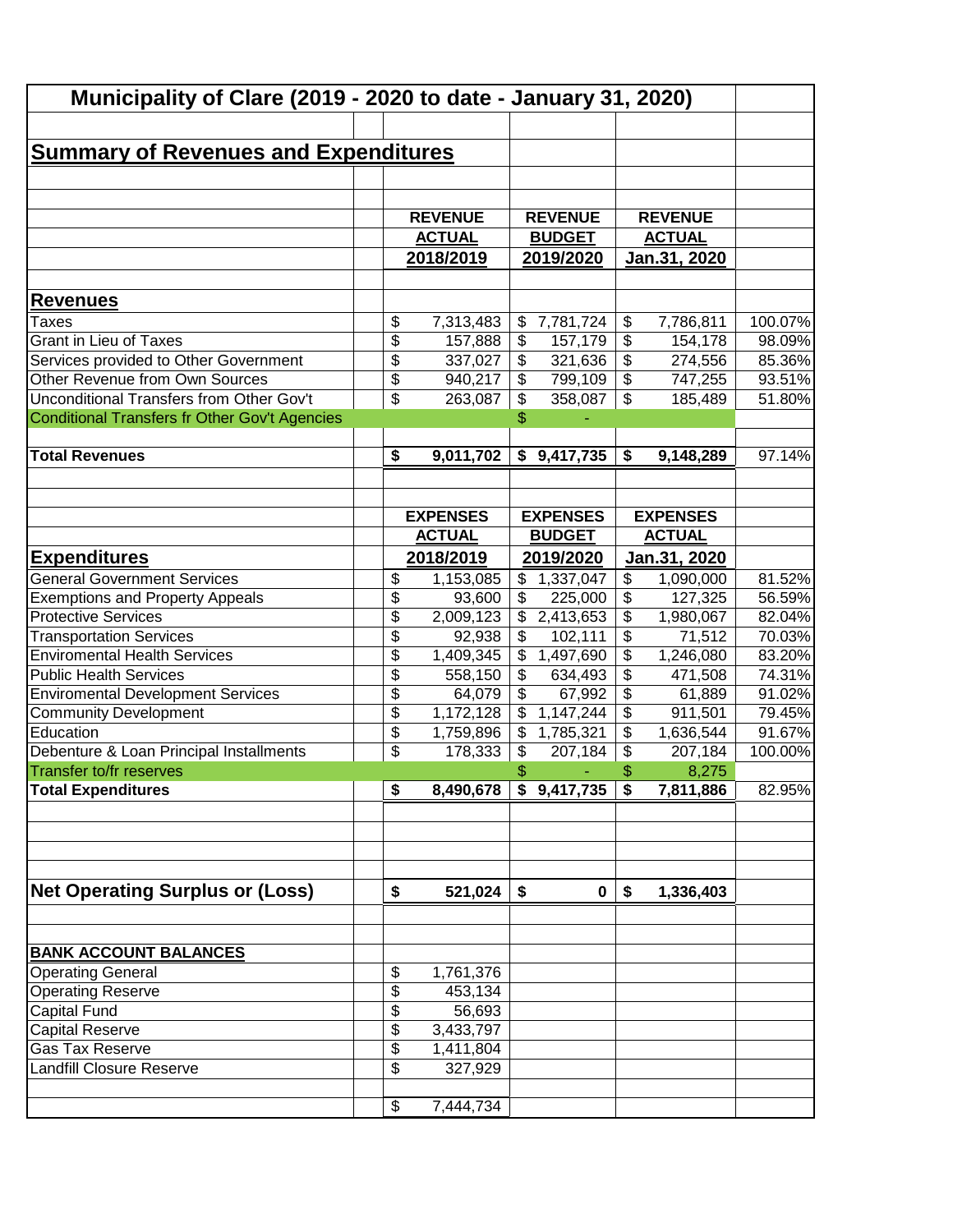| Municipality of Clare (2019 - 2020 to date - January 31, 2020)             |                                    |                      |                                 |                                |                                                      |                      |                  |
|----------------------------------------------------------------------------|------------------------------------|----------------------|---------------------------------|--------------------------------|------------------------------------------------------|----------------------|------------------|
|                                                                            |                                    |                      |                                 |                                |                                                      |                      |                  |
| <b>Summary of Revenues and Expenditures</b>                                |                                    |                      |                                 |                                |                                                      |                      |                  |
|                                                                            |                                    |                      |                                 |                                |                                                      |                      |                  |
|                                                                            |                                    |                      |                                 |                                |                                                      |                      |                  |
|                                                                            |                                    | <b>REVENUE</b>       |                                 | <b>REVENUE</b>                 |                                                      | <b>REVENUE</b>       |                  |
|                                                                            |                                    | <b>ACTUAL</b>        |                                 | <b>BUDGET</b>                  |                                                      | <b>ACTUAL</b>        |                  |
|                                                                            |                                    |                      |                                 |                                |                                                      |                      |                  |
|                                                                            |                                    | 2018/2019            |                                 | 2019/2020                      |                                                      | Jan.31, 2020         |                  |
|                                                                            |                                    |                      |                                 |                                |                                                      |                      |                  |
| <b>Revenues</b>                                                            |                                    |                      |                                 |                                |                                                      |                      |                  |
| Taxes                                                                      | \$                                 | 7,313,483            | \$                              | 7,781,724                      | \$                                                   | 7,786,811            | 100.07%          |
| Grant in Lieu of Taxes                                                     | \$                                 | 157,888              | \$                              | 157,179                        | $\overline{\$}$                                      | 154,178              | 98.09%           |
| Services provided to Other Government                                      | \$                                 | 337,027              | \$                              | 321,636                        | $\overline{\$}$                                      | 274,556              | 85.36%           |
| Other Revenue from Own Sources<br>Unconditional Transfers from Other Gov't | \$<br>\$                           | 940,217              | \$                              | 799,109                        | $\overline{\mathcal{L}}$<br>$\overline{\mathcal{L}}$ | 747,255              | 93.51%           |
|                                                                            |                                    | 263,087              | \$                              | 358,087                        |                                                      | 185,489              | 51.80%           |
| Conditional Transfers fr Other Gov't Agencies                              |                                    |                      | \$                              |                                |                                                      |                      |                  |
| <b>Total Revenues</b>                                                      | \$                                 | 9,011,702            |                                 | \$9,417,735                    | \$                                                   | 9,148,289            | 97.14%           |
|                                                                            |                                    |                      |                                 |                                |                                                      |                      |                  |
|                                                                            |                                    |                      |                                 |                                |                                                      |                      |                  |
|                                                                            |                                    | <b>EXPENSES</b>      |                                 | <b>EXPENSES</b>                |                                                      | <b>EXPENSES</b>      |                  |
|                                                                            |                                    | <b>ACTUAL</b>        |                                 | <b>BUDGET</b>                  |                                                      | <b>ACTUAL</b>        |                  |
|                                                                            |                                    | 2018/2019            |                                 | 2019/2020                      |                                                      | Jan.31, 2020         |                  |
| <b>Expenditures</b>                                                        |                                    |                      |                                 |                                |                                                      |                      |                  |
| <b>General Government Services</b>                                         | \$                                 | 1,153,085            | \$                              | 1,337,047                      | \$                                                   | 1,090,000            | 81.52%           |
| <b>Exemptions and Property Appeals</b>                                     | $\overline{\$}$                    | 93,600               | \$                              | 225,000                        | $\overline{\$}$                                      | 127,325              | 56.59%           |
| <b>Protective Services</b>                                                 | \$                                 | 2,009,123            | \$                              | 2,413,653                      | \$<br>$\overline{\$}$                                | 1,980,067            | 82.04%           |
| <b>Transportation Services</b>                                             | $\overline{\$}$<br>$\overline{\$}$ | 92,938               | \$                              | 102,111                        | $\overline{\mathcal{L}}$                             | 71,512               | 70.03%           |
| <b>Enviromental Health Services</b><br><b>Public Health Services</b>       | $\overline{\$}$                    | 1,409,345<br>558,150 | \$<br>$\boldsymbol{\mathsf{S}}$ | 1,497,690                      | $\overline{\$}$                                      | 1,246,080<br>471,508 | 83.20%<br>74.31% |
| <b>Enviromental Development Services</b>                                   | $\overline{\$}$                    | 64,079               | \$                              | 634,493<br>67,992              | $\overline{\$}$                                      | 61,889               | 91.02%           |
| <b>Community Development</b>                                               | \$                                 | 1,172,128            | \$                              | 1,147,244                      | $\overline{\mathcal{S}}$                             | 911,501              | 79.45%           |
| Education                                                                  | \$                                 | 1,759,896            | \$                              | 1,785,321                      | $\overline{\mathcal{L}}$                             | 1,636,544            | 91.67%           |
| Debenture & Loan Principal Installments                                    | \$                                 | 178,333              | \$                              | 207,184                        | $\overline{\mathcal{L}}$                             | 207,184              | 100.00%          |
| Transfer to/fr reserves                                                    |                                    |                      | \$                              |                                | \$                                                   | 8,275                |                  |
| <b>Total Expenditures</b>                                                  | \$                                 | 8,490,678            |                                 | $\frac{1}{2}$ \$ 9,417,735 \\$ |                                                      | 7,811,886            | 82.95%           |
|                                                                            |                                    |                      |                                 |                                |                                                      |                      |                  |
|                                                                            |                                    |                      |                                 |                                |                                                      |                      |                  |
|                                                                            |                                    |                      |                                 |                                |                                                      |                      |                  |
|                                                                            |                                    |                      |                                 |                                |                                                      |                      |                  |
| <b>Net Operating Surplus or (Loss)</b>                                     | \$                                 | 521,024              | \$                              | $\mathbf 0$                    | \$                                                   | 1,336,403            |                  |
|                                                                            |                                    |                      |                                 |                                |                                                      |                      |                  |
|                                                                            |                                    |                      |                                 |                                |                                                      |                      |                  |
| <b>BANK ACCOUNT BALANCES</b>                                               |                                    |                      |                                 |                                |                                                      |                      |                  |
| <b>Operating General</b>                                                   | \$                                 | 1,761,376            |                                 |                                |                                                      |                      |                  |
| <b>Operating Reserve</b>                                                   | \$                                 | 453,134              |                                 |                                |                                                      |                      |                  |
| <b>Capital Fund</b>                                                        | \$                                 | 56,693               |                                 |                                |                                                      |                      |                  |
| <b>Capital Reserve</b>                                                     | \$                                 | 3,433,797            |                                 |                                |                                                      |                      |                  |
| <b>Gas Tax Reserve</b>                                                     | \$                                 | 1,411,804            |                                 |                                |                                                      |                      |                  |
| Landfill Closure Reserve                                                   | \$                                 | 327,929              |                                 |                                |                                                      |                      |                  |
|                                                                            |                                    |                      |                                 |                                |                                                      |                      |                  |
|                                                                            | \$                                 | 7,444,734            |                                 |                                |                                                      |                      |                  |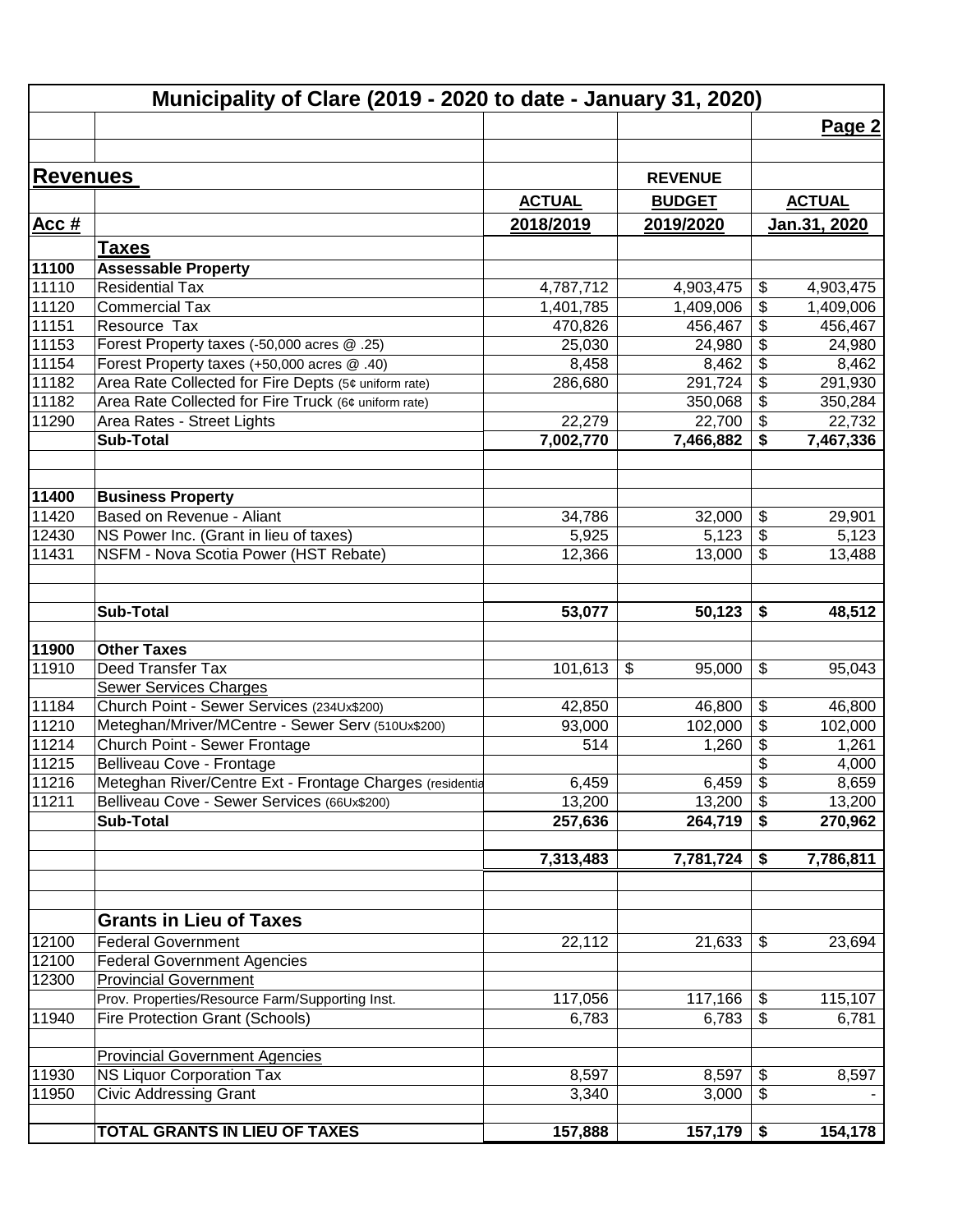|                 | Municipality of Clare (2019 - 2020 to date - January 31, 2020) |               |                |                          |               |
|-----------------|----------------------------------------------------------------|---------------|----------------|--------------------------|---------------|
|                 |                                                                |               |                |                          | Page 2        |
|                 |                                                                |               |                |                          |               |
| <b>Revenues</b> |                                                                |               | <b>REVENUE</b> |                          |               |
|                 |                                                                | <b>ACTUAL</b> | <b>BUDGET</b>  |                          | <b>ACTUAL</b> |
| Acc#            |                                                                | 2018/2019     | 2019/2020      |                          | Jan.31, 2020  |
|                 |                                                                |               |                |                          |               |
|                 | <b>Taxes</b>                                                   |               |                |                          |               |
| 11100<br>11110  | <b>Assessable Property</b><br><b>Residential Tax</b>           | 4,787,712     | 4,903,475      | \$                       | 4,903,475     |
| 11120           | <b>Commercial Tax</b>                                          | 1,401,785     | 1,409,006      | \$                       | 1,409,006     |
| 11151           | Resource Tax                                                   | 470,826       | 456,467        | \$                       | 456,467       |
| 11153           | Forest Property taxes (-50,000 acres @ .25)                    | 25,030        | 24,980         | $\frac{1}{2}$            | 24,980        |
| 11154           | Forest Property taxes (+50,000 acres @ .40)                    | 8,458         | 8,462          | \$                       | 8,462         |
| 11182           | Area Rate Collected for Fire Depts (5¢ uniform rate)           | 286,680       | 291,724        | $\overline{\$}$          | 291,930       |
| 11182           | Area Rate Collected for Fire Truck (6¢ uniform rate)           |               | 350,068        | $\overline{\mathcal{E}}$ | 350,284       |
| 11290           | Area Rates - Street Lights                                     | 22,279        | 22,700         | \$                       | 22,732        |
|                 | <b>Sub-Total</b>                                               | 7,002,770     | 7,466,882      | \$                       | 7,467,336     |
|                 |                                                                |               |                |                          |               |
|                 |                                                                |               |                |                          |               |
| 11400           | <b>Business Property</b>                                       |               |                |                          |               |
| 11420           | Based on Revenue - Aliant                                      | 34,786        | 32,000         | \$                       | 29,901        |
| 12430           | NS Power Inc. (Grant in lieu of taxes)                         | 5,925         | 5,123          | \$                       | 5,123         |
| 11431           | NSFM - Nova Scotia Power (HST Rebate)                          | 12,366        | 13,000         | \$                       | 13,488        |
|                 |                                                                |               |                |                          |               |
|                 | <b>Sub-Total</b>                                               | 53,077        | 50,123         | \$                       | 48,512        |
| 11900           | <b>Other Taxes</b>                                             |               |                |                          |               |
| 11910           | Deed Transfer Tax                                              | 101,613       | \$<br>95,000   | \$                       | 95,043        |
|                 | <b>Sewer Services Charges</b>                                  |               |                |                          |               |
| 11184           | Church Point - Sewer Services (234Ux\$200)                     | 42,850        | 46,800         | \$                       | 46,800        |
| 11210           | Meteghan/Mriver/MCentre - Sewer Serv (510Ux\$200)              | 93,000        | 102,000        | $\overline{\mathbf{e}}$  | 102,000       |
| 11214           | Church Point - Sewer Frontage                                  | 514           | 1,260          | \$                       | 1,261         |
| 11215           | Belliveau Cove - Frontage                                      |               |                | \$                       | 4,000         |
| 11216           | Meteghan River/Centre Ext - Frontage Charges (residentia       | 6,459         | 6,459          | $\overline{\mathcal{L}}$ | 8,659         |
| 11211           | Belliveau Cove - Sewer Services (66Ux\$200)                    | 13,200        | 13,200         | \$                       | 13,200        |
|                 | <b>Sub-Total</b>                                               | 257,636       | 264,719        | \$                       | 270,962       |
|                 |                                                                | 7,313,483     | 7,781,724      | \$                       | 7,786,811     |
|                 |                                                                |               |                |                          |               |
|                 |                                                                |               |                |                          |               |
|                 | <b>Grants in Lieu of Taxes</b>                                 |               |                |                          |               |
| 12100           | <b>Federal Government</b>                                      | 22,112        | 21,633         | \$                       | 23,694        |
| 12100           | <b>Federal Government Agencies</b>                             |               |                |                          |               |
| 12300           | <b>Provincial Government</b>                                   |               |                |                          |               |
|                 | Prov. Properties/Resource Farm/Supporting Inst.                | 117,056       | 117,166        | \$                       | 115,107       |
| 11940           | <b>Fire Protection Grant (Schools)</b>                         | 6,783         | 6,783          | \$                       | 6,781         |
|                 | <b>Provincial Government Agencies</b>                          |               |                |                          |               |
| 11930           | <b>NS Liquor Corporation Tax</b>                               | 8,597         | 8,597          | \$                       | 8,597         |
| 11950           | <b>Civic Addressing Grant</b>                                  | 3,340         | 3,000          | \$                       |               |
|                 | TOTAL GRANTS IN LIEU OF TAXES                                  | 157,888       | $157,179$ \$   |                          | 154,178       |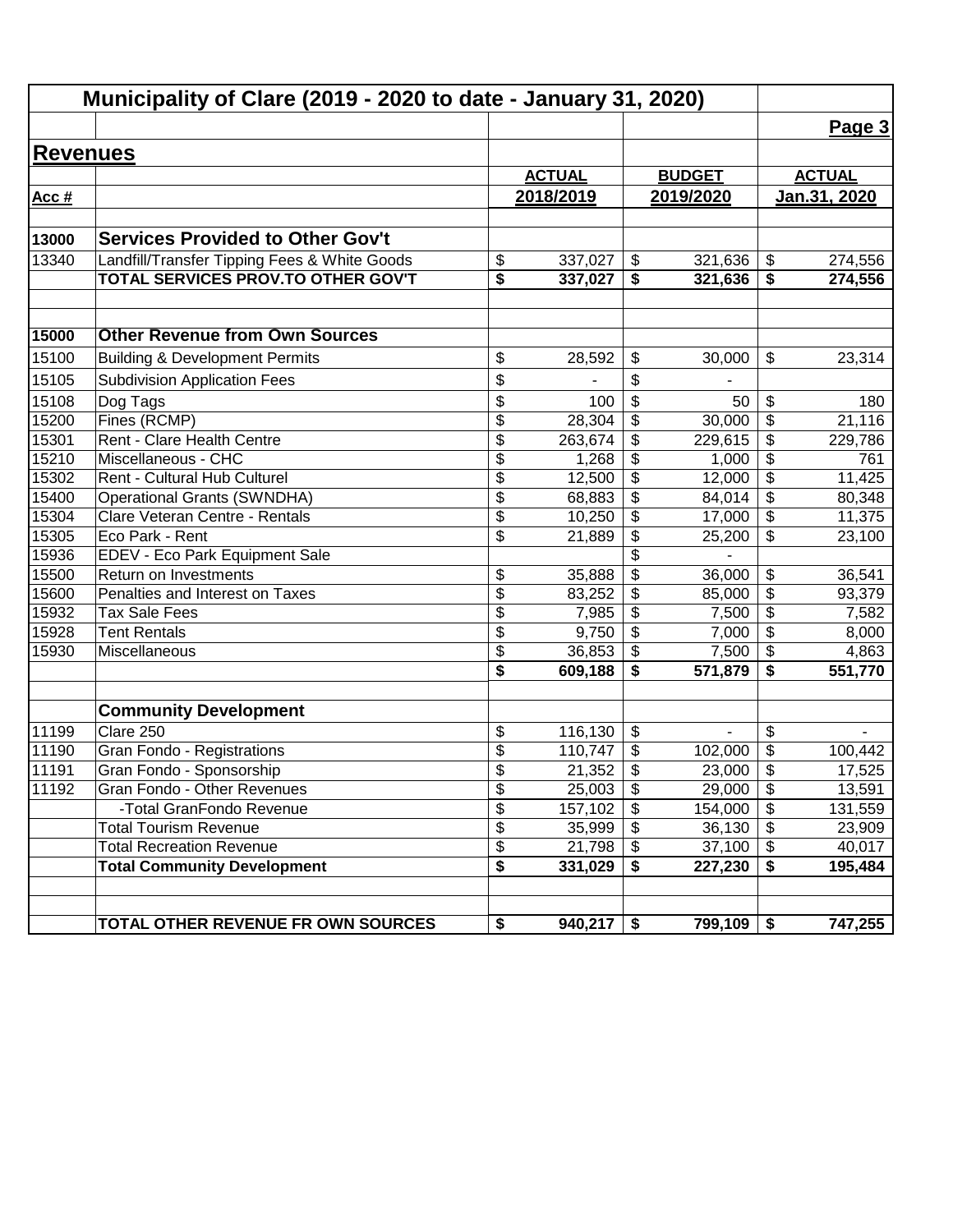|                 | Municipality of Clare (2019 - 2020 to date - January 31, 2020) |                          |               |                                        |               |                                        |                     |  |  |
|-----------------|----------------------------------------------------------------|--------------------------|---------------|----------------------------------------|---------------|----------------------------------------|---------------------|--|--|
|                 |                                                                |                          |               |                                        |               |                                        | Page 3              |  |  |
| <b>Revenues</b> |                                                                |                          |               |                                        |               |                                        |                     |  |  |
|                 |                                                                |                          | <b>ACTUAL</b> |                                        | <b>BUDGET</b> |                                        | <b>ACTUAL</b>       |  |  |
| Acc#            |                                                                |                          | 2018/2019     |                                        | 2019/2020     |                                        | <u>Jan.31, 2020</u> |  |  |
|                 |                                                                |                          |               |                                        |               |                                        |                     |  |  |
| 13000           | <b>Services Provided to Other Gov't</b>                        |                          |               |                                        |               |                                        |                     |  |  |
| 13340           | Landfill/Transfer Tipping Fees & White Goods                   | \$                       | 337,027       | $\boldsymbol{\hat{\varphi}}$           | 321,636       | \$                                     | 274,556             |  |  |
|                 | TOTAL SERVICES PROV.TO OTHER GOV'T                             | \$                       | 337,027       | \$                                     | 321,636       | \$                                     | 274,556             |  |  |
|                 | <b>Other Revenue from Own Sources</b>                          |                          |               |                                        |               |                                        |                     |  |  |
| 15000           |                                                                |                          |               |                                        |               |                                        |                     |  |  |
| 15100           | <b>Building &amp; Development Permits</b>                      | \$                       | 28,592        | \$                                     | 30,000        | \$                                     | 23,314              |  |  |
| 15105           | <b>Subdivision Application Fees</b>                            | \$                       |               | \$                                     |               |                                        |                     |  |  |
| 15108           | Dog Tags                                                       | \$                       | 100           | \$                                     | 50            | \$                                     | 180                 |  |  |
| 15200           | Fines (RCMP)                                                   | $\overline{\mathcal{S}}$ | 28,304        | \$                                     | 30,000        | $\overline{\mathbf{3}}$                | 21,116              |  |  |
| 15301           | Rent - Clare Health Centre                                     | $\overline{\mathcal{S}}$ | 263,674       | \$                                     | 229,615       | \$                                     | 229,786             |  |  |
| 15210           | Miscellaneous - CHC                                            | \$                       | 1,268         | \$                                     | 1,000         | \$                                     | 761                 |  |  |
| 15302           | Rent - Cultural Hub Culturel                                   | \$                       | 12,500        | \$                                     | 12,000        | $\overline{\boldsymbol{\theta}}$       | 11,425              |  |  |
| 15400           | <b>Operational Grants (SWNDHA)</b>                             | $\overline{\mathcal{S}}$ | 68,883        | $\overline{\mathbf{e}}$                | 84,014        | $\overline{\boldsymbol{\theta}}$       | 80,348              |  |  |
| 15304           | Clare Veteran Centre - Rentals                                 | \$                       | 10,250        | \$                                     | 17,000        | $\overline{\mathcal{G}}$               | 11,375              |  |  |
| 15305           | Eco Park - Rent                                                | \$                       | 21,889        | $\overline{\mathbf{e}}$                | 25,200        | \$                                     | 23,100              |  |  |
| 15936           | EDEV - Eco Park Equipment Sale                                 |                          |               | $\overline{\$}$                        |               |                                        |                     |  |  |
| 15500           | Return on Investments                                          | \$                       | 35,888        | $\overline{\$}$                        | 36,000        | \$                                     | 36,541              |  |  |
| 15600           | Penalties and Interest on Taxes                                | $\overline{\$}$          | 83,252        | \$                                     | 85,000        | $\overline{\$}$                        | 93,379              |  |  |
| 15932           | <b>Tax Sale Fees</b>                                           | $\overline{\$}$          | 7,985         | $\overline{\$}$                        | 7,500         | $\overline{\$}$                        | 7,582               |  |  |
| 15928           | <b>Tent Rentals</b>                                            | \$                       | 9,750         | $\overline{\mathcal{S}}$               | 7,000         | $\overline{\mathcal{L}}$               | 8,000               |  |  |
| 15930           | Miscellaneous                                                  | \$                       | 36,853        | \$                                     | 7,500         | \$                                     | 4,863               |  |  |
|                 |                                                                | \$                       | 609,188       | \$                                     | 571,879       | \$                                     | 551,770             |  |  |
|                 | <b>Community Development</b>                                   |                          |               |                                        |               |                                        |                     |  |  |
| 11199           | Clare 250                                                      | \$                       | 116,130       | \$                                     | ä,            | \$                                     |                     |  |  |
| 11190           | Gran Fondo - Registrations                                     | \$                       | 110,747       | \$                                     | 102,000       | \$                                     | 100,442             |  |  |
| 11191           | Gran Fondo - Sponsorship                                       | \$                       | 21,352        | \$                                     | 23,000        | \$                                     | 17,525              |  |  |
| 11192           | Gran Fondo - Other Revenues                                    | \$                       | 25,003        | $\boldsymbol{\mathsf{S}}$              | 29,000        | \$                                     | 13,591              |  |  |
|                 | -Total GranFondo Revenue                                       | $\overline{\mathcal{S}}$ | 157,102       | $\overline{\boldsymbol{\mathfrak{s}}}$ | 154,000       | $\overline{\boldsymbol{\mathfrak{s}}}$ | 131,559             |  |  |
|                 | <b>Total Tourism Revenue</b>                                   | \$                       | 35,999        | \$                                     | 36,130        | $\boldsymbol{\mathsf{S}}$              | 23,909              |  |  |
|                 | <b>Total Recreation Revenue</b>                                | \$                       | 21,798        | \$                                     | 37,100        | $\boldsymbol{\mathsf{S}}$              | 40,017              |  |  |
|                 | <b>Total Community Development</b>                             | \$                       | 331,029       | \$                                     | 227,230       | \$                                     | 195,484             |  |  |
|                 | TOTAL OTHER REVENUE FR OWN SOURCES                             | \$                       | 940,217       | \$                                     | 799,109       | \$                                     | 747,255             |  |  |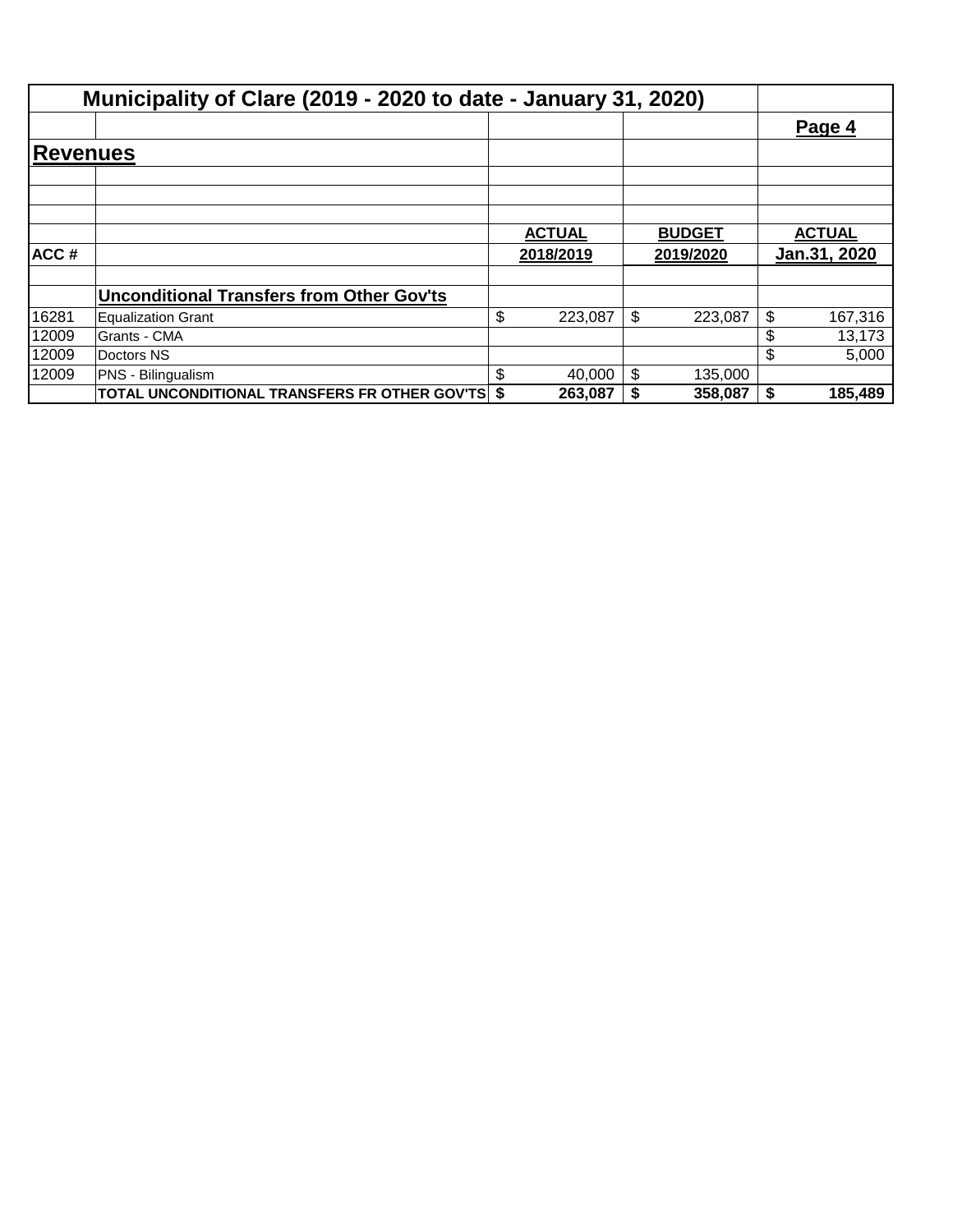|          | Municipality of Clare (2019 - 2020 to date - January 31, 2020) |               |               |               |              |
|----------|----------------------------------------------------------------|---------------|---------------|---------------|--------------|
|          |                                                                |               |               |               | Page 4       |
| Revenues |                                                                |               |               |               |              |
|          |                                                                |               |               |               |              |
|          |                                                                |               |               |               |              |
|          |                                                                | <b>ACTUAL</b> | <b>BUDGET</b> | <b>ACTUAL</b> |              |
| ACC#     |                                                                | 2018/2019     | 2019/2020     |               | Jan.31, 2020 |
|          | <b>Unconditional Transfers from Other Gov'ts</b>               |               |               |               |              |
| 16281    | Equalization Grant                                             | \$<br>223,087 | \$<br>223,087 | \$            | 167,316      |
| 12009    | Grants - CMA                                                   |               |               | \$            | 13,173       |
| 12009    | Doctors NS                                                     |               |               | \$            | 5,000        |
| 12009    | PNS - Bilingualism                                             | \$<br>40,000  | \$<br>135,000 |               |              |
|          | TOTAL UNCONDITIONAL TRANSFERS FR OTHER GOV'TS \$               | 263,087       | 358,087       | S.            | 185,489      |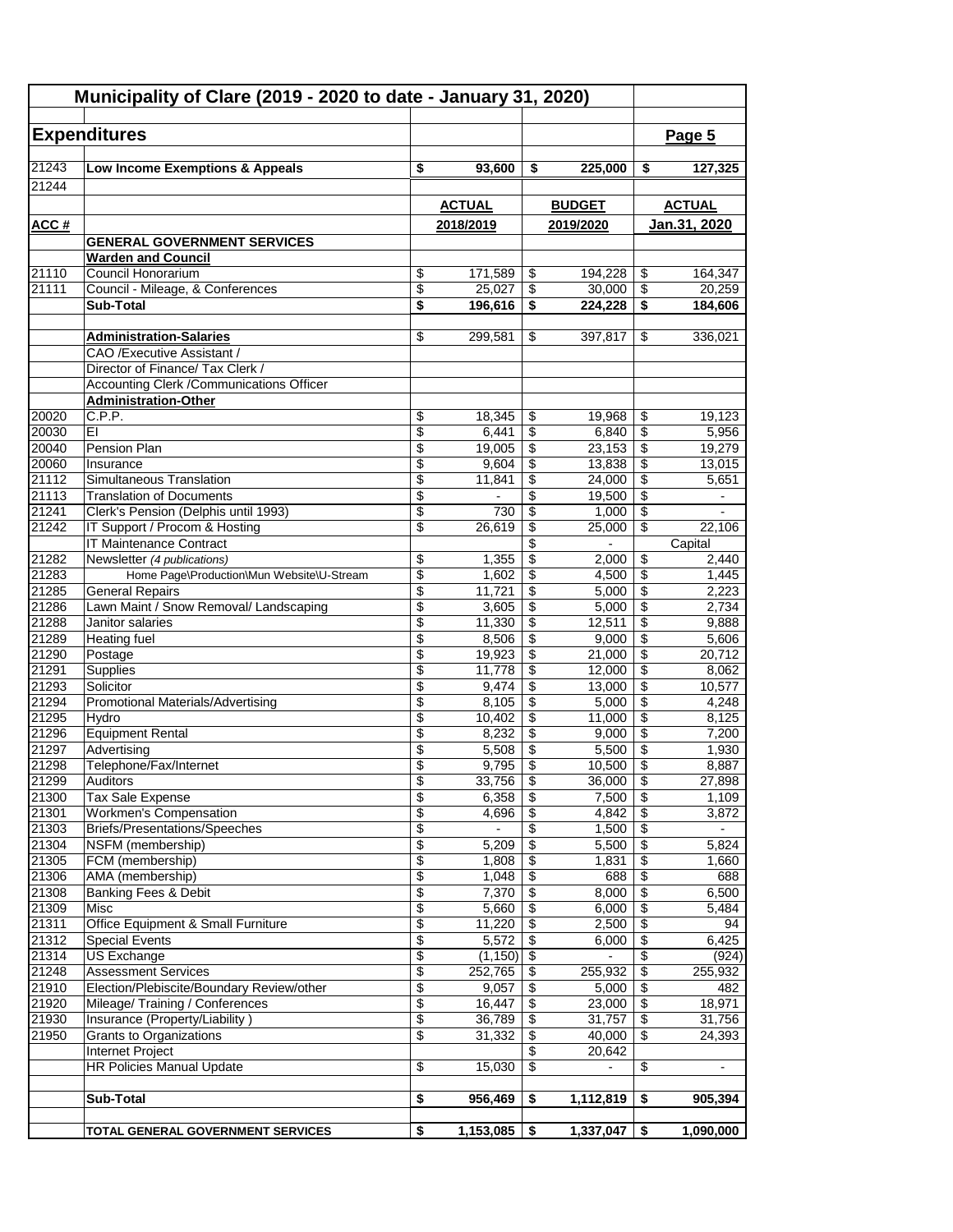|                             | <b>Expenditures</b>                                                          |          |                         |                                        |                   |                          | Page 5                  |
|-----------------------------|------------------------------------------------------------------------------|----------|-------------------------|----------------------------------------|-------------------|--------------------------|-------------------------|
| 21243                       | Low Income Exemptions & Appeals                                              | \$       | 93,600                  | \$                                     | 225,000           | \$                       | 127,325                 |
| 21244                       |                                                                              |          |                         |                                        |                   |                          |                         |
|                             |                                                                              |          | <b>ACTUAL</b>           |                                        | <b>BUDGET</b>     |                          | <b>ACTUAL</b>           |
| ACC#                        |                                                                              |          | 2018/2019               |                                        | 2019/2020         |                          | Jan.31, 2020            |
|                             | <b>GENERAL GOVERNMENT SERVICES</b>                                           |          |                         |                                        |                   |                          |                         |
|                             | <b>Warden and Council</b>                                                    |          |                         |                                        |                   |                          |                         |
| $\overline{21110}$<br>21111 | Council Honorarium                                                           | \$<br>\$ | 171,589<br>25,027       | \$                                     | 194,228           | \$                       | 164,347<br>20.259       |
|                             | Council - Mileage, & Conferences<br>Sub-Total                                | \$       | 196,616                 | \$<br>\$                               | 30,000<br>224,228 | \$<br>\$                 | 184,606                 |
|                             |                                                                              |          |                         |                                        |                   |                          |                         |
|                             | <b>Administration-Salaries</b>                                               | \$       | 299,581                 | \$                                     | 397,817           | \$                       | 336,021                 |
|                             | CAO /Executive Assistant /                                                   |          |                         |                                        |                   |                          |                         |
|                             | Director of Finance/ Tax Clerk /                                             |          |                         |                                        |                   |                          |                         |
|                             | <b>Accounting Clerk /Communications Officer</b>                              |          |                         |                                        |                   |                          |                         |
|                             | <b>Administration-Other</b>                                                  |          |                         |                                        |                   |                          |                         |
| 20020                       | C.P.P.                                                                       | \$       | 18,345                  | \$                                     | 19,968            | \$                       | 19,123                  |
| 20030                       | EI                                                                           | \$       | 6,441                   | \$                                     | 6,840             | \$                       | 5,956                   |
| 20040<br>20060              | Pension Plan<br>Insurance                                                    | \$<br>\$ | 19,005<br>9,604         | \$<br>\$                               | 23,153<br>13,838  | \$<br>\$                 | 19,279<br>13,015        |
| 21112                       | Simultaneous Translation                                                     | \$       | 11,841                  | \$                                     | 24,000            | \$                       | 5,651                   |
| 21113                       | <b>Translation of Documents</b>                                              | \$       |                         | \$                                     | 19,500            | \$                       |                         |
| 21241                       | Clerk's Pension (Delphis until 1993)                                         | \$       | 730                     | \$                                     | 1,000             | \$                       |                         |
| 21242                       | IT Support / Procom & Hosting                                                | \$       | 26,619                  | \$                                     | 25,000            | \$                       | 22,106                  |
|                             | <b>IT Maintenance Contract</b>                                               |          |                         | \$                                     |                   |                          | Capital                 |
| 21282                       | Newsletter (4 publications)                                                  | \$       | 1,355                   | \$                                     | 2,000             | \$                       | 2,440                   |
| 21283                       | Home Page\Production\Mun Website\U-Stream                                    | \$       | 1,602                   | \$                                     | 4,500             | \$                       | 1,445                   |
| 21285                       | <b>General Repairs</b>                                                       | \$       | 11,721                  | \$                                     | 5,000             | \$                       | 2,223                   |
| 21286                       | Lawn Maint / Snow Removal/ Landscaping                                       | \$       | 3,605                   | \$                                     | 5,000             | \$                       | 2,734                   |
| 21288                       | Janitor salaries                                                             | \$       | 11,330                  | \$                                     | 12,511            | \$                       | 9,888                   |
| 21289<br>21290              | <b>Heating fuel</b>                                                          | \$<br>\$ | 8,506                   | \$<br>\$                               | 9,000<br>21,000   | \$<br>\$                 | 5,606<br>20,712         |
| 21291                       | Postage<br>Supplies                                                          | \$       | 19,923<br>11,778        | \$                                     | 12,000            | \$                       | 8,062                   |
| 21293                       | Solicitor                                                                    | \$       | 9,474                   | \$                                     | 13,000            | \$                       | 10,577                  |
| 21294                       | Promotional Materials/Advertising                                            | \$       | 8,105                   | \$                                     | 5,000             | \$                       | 4,248                   |
| 21295                       | Hydro                                                                        | \$       | 10,402                  | \$                                     | 11,000            | \$                       | 8,125                   |
| 21296                       | <b>Equipment Rental</b>                                                      | \$       | 8,232                   | \$                                     | 9,000             | \$                       | 7,200                   |
| 21297                       | Advertising                                                                  | \$       | 5,508                   | $\overline{\mathbf{e}}$                | 5,500             | \$                       | 1,930                   |
| 21298                       | Telephone/Fax/Internet                                                       | \$       | $9,795$ \$              |                                        | 10,500            | $\overline{\mathcal{L}}$ | 8,887                   |
| 21299                       | <b>Auditors</b>                                                              | \$       | 33,756                  | $\sqrt{3}$                             | 36,000            | \$                       | 27,898                  |
| 21300                       | Tax Sale Expense                                                             | \$       | 6,358                   | $\sqrt{3}$                             | 7,500             | \$                       | 1,109                   |
| 21301<br>21303              | Workmen's Compensation<br><b>Briefs/Presentations/Speeches</b>               | \$<br>\$ | 4,696<br>$\blacksquare$ | $\overline{\$}$<br>\$                  | 4,842<br>1,500    | \$<br>\$                 | 3,872<br>$\blacksquare$ |
| 21304                       | NSFM (membership)                                                            | \$       | 5,209                   | \$                                     | 5,500             | \$                       | 5,824                   |
| 21305                       | FCM (membership)                                                             | \$       | 1,808                   | $\overline{\boldsymbol{\mathfrak{s}}}$ | 1,831             | \$                       | 1,660                   |
| 21306                       | AMA (membership)                                                             | \$       | 1,048                   | \$                                     | 688               | \$                       | 688                     |
| 21308                       | Banking Fees & Debit                                                         | \$       | 7,370                   | \$                                     | 8,000             | \$                       | 6,500                   |
| 21309                       | Misc                                                                         | \$       | 5,660                   | \$                                     | 6,000             | \$                       | 5,484                   |
| 21311                       | Office Equipment & Small Furniture                                           | \$       | 11,220                  | \$                                     | 2,500             | \$                       | 94                      |
| 21312                       | <b>Special Events</b>                                                        | \$       | 5,572                   | \$                                     | 6,000             | \$                       | 6,425                   |
| 21314                       | <b>US Exchange</b>                                                           | \$       | $(1,150)$ \$            |                                        | $\blacksquare$    | \$                       | (924)                   |
| 21248                       | <b>Assessment Services</b>                                                   | \$       | 252,765                 | \$                                     | 255,932           | \$                       | 255,932                 |
| 21910<br>21920              | Election/Plebiscite/Boundary Review/other<br>Mileage/ Training / Conferences | \$<br>\$ | 9,057<br>16,447         | \$<br>\$                               | 5,000<br>23,000   | \$<br>\$                 | 482<br>18,971           |
| 21930                       | Insurance (Property/Liability)                                               | \$       | 36,789                  | \$                                     | 31,757            | \$                       | 31,756                  |
| 21950                       | <b>Grants to Organizations</b>                                               | \$       | 31,332                  | \$                                     | 40,000            | \$                       | 24,393                  |
|                             | Internet Project                                                             |          |                         | \$                                     | 20,642            |                          |                         |
|                             | <b>HR Policies Manual Update</b>                                             | \$       | 15,030                  | \$                                     | $\blacksquare$    | \$                       |                         |
|                             |                                                                              |          |                         |                                        |                   |                          |                         |
|                             | <b>Sub-Total</b>                                                             | \$       | 956,469                 | \$                                     | 1,112,819         | \$                       | 905,394                 |
|                             |                                                                              |          |                         |                                        |                   |                          |                         |
|                             | TOTAL GENERAL GOVERNMENT SERVICES                                            | \$       | 1,153,085               | \$                                     | 1,337,047         | \$                       | 1,090,000               |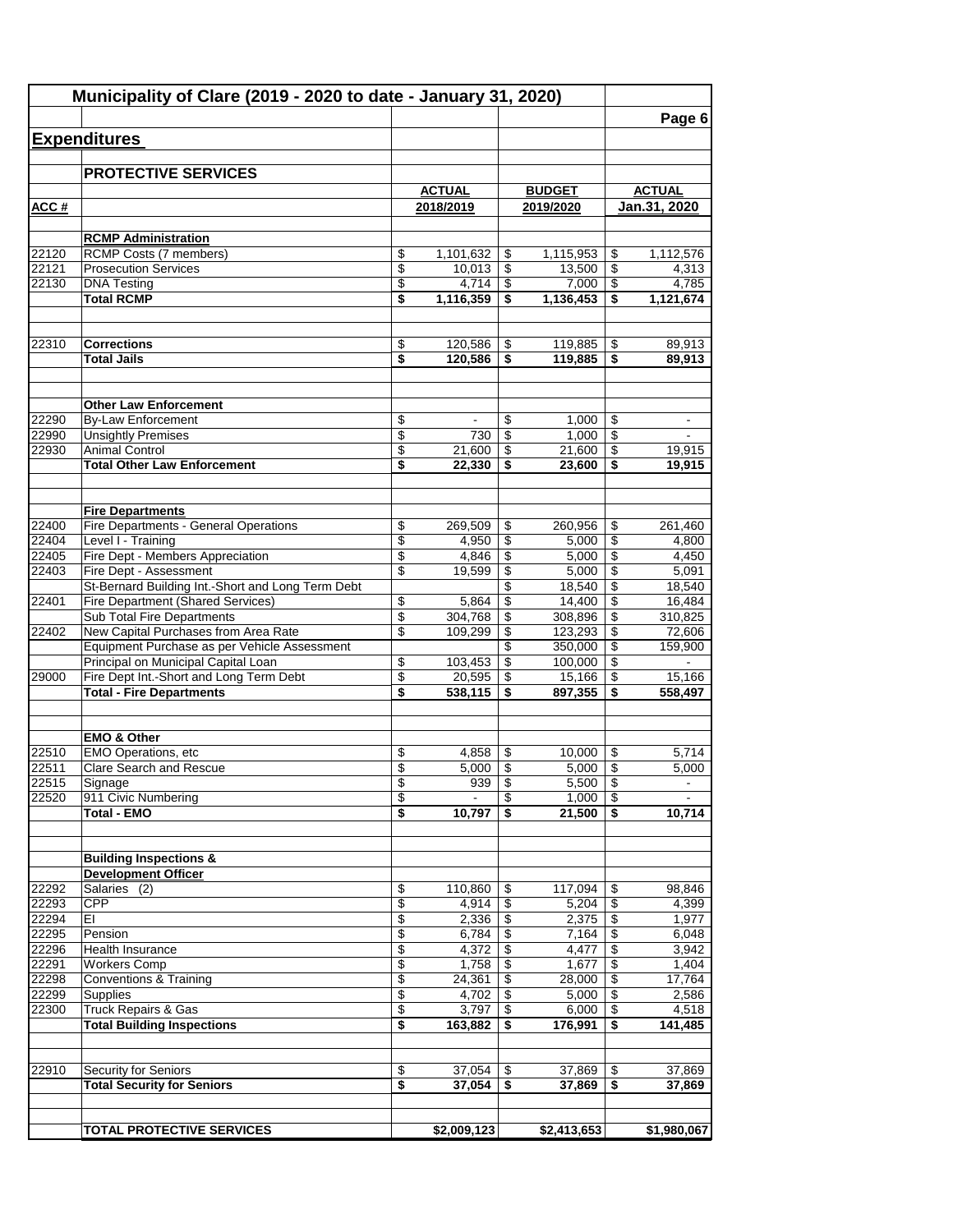|                | Municipality of Clare (2019 - 2020 to date - January 31, 2020)                         |                 |                  |          |                  |                                            | Page 6           |
|----------------|----------------------------------------------------------------------------------------|-----------------|------------------|----------|------------------|--------------------------------------------|------------------|
|                | <b>Expenditures</b>                                                                    |                 |                  |          |                  |                                            |                  |
|                |                                                                                        |                 |                  |          |                  |                                            |                  |
|                | <b>PROTECTIVE SERVICES</b>                                                             |                 |                  |          |                  |                                            |                  |
|                |                                                                                        |                 | <b>ACTUAL</b>    |          | <b>BUDGET</b>    |                                            | <b>ACTUAL</b>    |
| ACC#           |                                                                                        |                 | 2018/2019        |          | 2019/2020        |                                            | Jan.31, 2020     |
|                |                                                                                        |                 |                  |          |                  |                                            |                  |
| 22120          | <b>RCMP Administration</b><br><b>RCMP Costs (7 members)</b>                            | \$              | 1,101,632        | \$       | 1,115,953        | \$                                         | 1,112,576        |
| 22121          | <b>Prosecution Services</b>                                                            | \$              | 10,013           | \$       | 13,500           | \$                                         | 4,313            |
| 22130          | <b>DNA Testing</b>                                                                     | \$              | 4,714            | \$       | 7,000            | \$                                         | 4,785            |
|                | <b>Total RCMP</b>                                                                      | \$              | 1,116,359        | \$       | 1,136,453        | \$                                         | 1,121,674        |
| 22310          | <b>Corrections</b>                                                                     | \$              | 120,586          | \$       | 119,885          | \$                                         | 89,913           |
|                | <b>Total Jails</b>                                                                     | \$              | 120,586          | \$       | 119,885          | \$                                         | 89,913           |
|                |                                                                                        |                 |                  |          |                  |                                            |                  |
|                | <b>Other Law Enforcement</b>                                                           |                 |                  |          |                  |                                            |                  |
| 22290          | <b>By-Law Enforcement</b>                                                              | \$              |                  | \$       | 1,000            | \$                                         |                  |
| 22990          | <b>Unsightly Premises</b>                                                              | \$              | 730              | \$       | 1,000            | \$                                         |                  |
| 22930          | <b>Animal Control</b><br><b>Total Other Law Enforcement</b>                            | \$<br>\$        | 21,600<br>22,330 | \$<br>\$ | 21,600<br>23,600 | \$<br>$\overline{\boldsymbol{\mathsf{s}}}$ | 19,915<br>19,915 |
|                |                                                                                        |                 |                  |          |                  |                                            |                  |
|                | <b>Fire Departments</b>                                                                |                 |                  |          |                  |                                            |                  |
| 22400          | Fire Departments - General Operations                                                  | \$              | 269,509          | \$       | 260,956          | \$                                         | 261,460          |
| 22404          | Level I - Training                                                                     | $\overline{\$}$ | 4,950            | \$       | 5,000            | \$                                         | 4,800            |
| 22405          | Fire Dept - Members Appreciation                                                       | \$              | 4,846            | \$       | 5,000            | \$                                         | 4,450            |
| 22403          | Fire Dept - Assessment                                                                 | \$              | 19,599           | \$       | 5,000            | \$                                         | 5,091            |
| 22401          | St-Bernard Building Int.-Short and Long Term Debt<br>Fire Department (Shared Services) | \$              | 5,864            | \$<br>\$ | 18,540<br>14,400 | \$<br>\$                                   | 18,540<br>16,484 |
|                | <b>Sub Total Fire Departments</b>                                                      | \$              | 304,768          | \$       | 308,896          | \$                                         | 310,825          |
| 22402          | New Capital Purchases from Area Rate                                                   | \$              | 109,299          | \$       | 123,293          | \$                                         | 72,606           |
|                | Equipment Purchase as per Vehicle Assessment                                           |                 |                  | \$       | 350,000          | \$                                         | 159,900          |
|                | Principal on Municipal Capital Loan                                                    | \$              | 103,453          | \$       | 100,000          | \$                                         |                  |
| 29000          | Fire Dept Int.-Short and Long Term Debt                                                | \$              | 20,595           | \$       | 15,166           | \$                                         | 15,166           |
|                | <b>Total - Fire Departments</b>                                                        | \$              | 538,115          | \$       | 897,355          | \$                                         | 558,497          |
|                | <b>EMO &amp; Other</b>                                                                 |                 |                  |          |                  |                                            |                  |
| 22510          | <b>EMO Operations, etc</b>                                                             | \$              | 4,858            | \$       | 10,000           | \$                                         | 5,714            |
| 22511          | Clare Search and Rescue                                                                | \$              | $5,000$          | \$       | $5,000$   \$     |                                            | 5,000            |
| 22515          | Signage                                                                                | \$              | 939              | \$       | 5,500            | \$                                         |                  |
| 22520          | 911 Civic Numbering<br><b>Total - EMO</b>                                              | \$<br>\$        | 10,797           | \$<br>\$ | 1,000<br>21,500  | \$<br>\$                                   | 10,714           |
|                |                                                                                        |                 |                  |          |                  |                                            |                  |
|                | <b>Building Inspections &amp;</b><br><b>Development Officer</b>                        |                 |                  |          |                  |                                            |                  |
| 22292          | Salaries (2)                                                                           | \$              | 110,860          | \$       | 117,094          | \$                                         | 98,846           |
| 22293          | <b>CPP</b>                                                                             | \$              | 4,914            | \$       | 5,204            | $\overline{\$}$                            | 4,399            |
| 22294          | EI                                                                                     | \$              | 2,336            | \$       | 2,375            | \$                                         | 1,977            |
| 22295          | Pension                                                                                | \$              | 6,784            | \$       | 7,164            | \$                                         | 6,048            |
| 22296          | Health Insurance                                                                       | \$              | 4,372            | \$       | 4,477            | \$                                         | 3,942            |
| 22291<br>22298 | <b>Workers Comp</b>                                                                    | \$<br>\$        | 1,758<br>24,361  | \$<br>\$ | 1,677<br>28,000  | \$<br>\$                                   | 1,404<br>17,764  |
| 22299          | <b>Conventions &amp; Training</b><br>Supplies                                          | \$              | 4,702            | \$       | 5,000            | \$                                         | 2,586            |
| 22300          | Truck Repairs & Gas                                                                    | \$              | 3,797            | \$       | 6,000            | \$                                         | 4,518            |
|                | <b>Total Building Inspections</b>                                                      | \$              | 163,882          | \$       | 176,991          | \$                                         | 141,485          |
|                |                                                                                        |                 |                  |          |                  |                                            |                  |
| 22910          | <b>Security for Seniors</b>                                                            | \$              | 37,054           | \$       | 37,869           | \$                                         | 37,869           |
|                | <b>Total Security for Seniors</b>                                                      | \$              | 37,054           | \$       | 37,869           | \$                                         | 37,869           |
|                | <b>TOTAL PROTECTIVE SERVICES</b>                                                       |                 | \$2,009,123      |          | \$2,413,653      |                                            | \$1,980,067      |
|                |                                                                                        |                 |                  |          |                  |                                            |                  |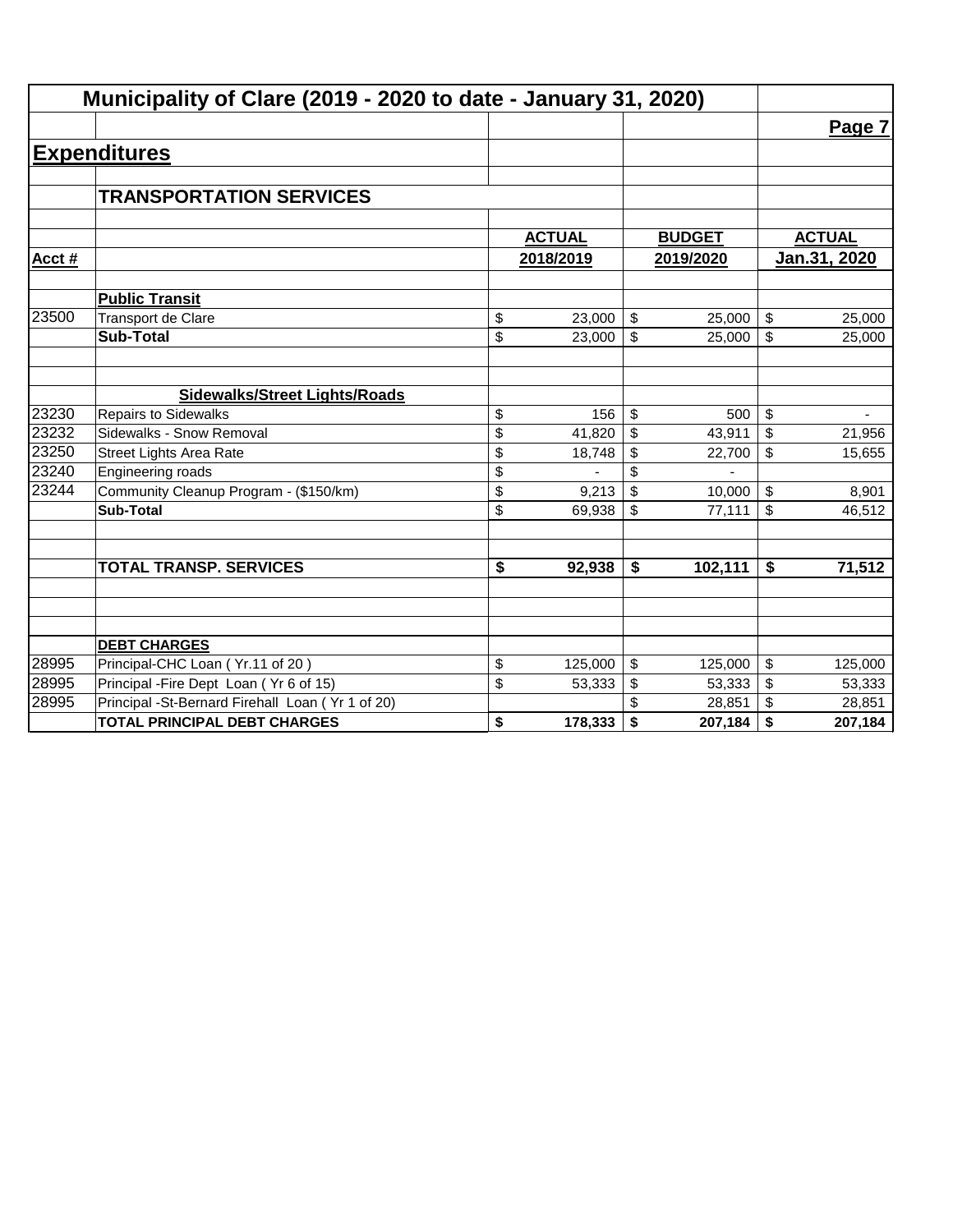|        | Municipality of Clare (2019 - 2020 to date - January 31, 2020) |               |           |                         |               |              |               |
|--------|----------------------------------------------------------------|---------------|-----------|-------------------------|---------------|--------------|---------------|
|        |                                                                |               |           |                         |               |              | Page 7        |
|        | <b>Expenditures</b>                                            |               |           |                         |               |              |               |
|        |                                                                |               |           |                         |               |              |               |
|        | <b>TRANSPORTATION SERVICES</b>                                 |               |           |                         |               |              |               |
|        |                                                                |               |           |                         |               |              |               |
|        |                                                                | <b>ACTUAL</b> |           |                         | <b>BUDGET</b> |              | <b>ACTUAL</b> |
| Acct # |                                                                |               | 2018/2019 | 2019/2020               |               | Jan.31, 2020 |               |
|        | <b>Public Transit</b>                                          |               |           |                         |               |              |               |
| 23500  | <b>Transport de Clare</b>                                      | \$            | 23,000    | \$                      | 25,000        | \$           | 25,000        |
|        | <b>Sub-Total</b>                                               | \$            | 23,000    | \$                      | 25,000        | \$           | 25,000        |
|        |                                                                |               |           |                         |               |              |               |
|        | <b>Sidewalks/Street Lights/Roads</b>                           |               |           |                         |               |              |               |
| 23230  | <b>Repairs to Sidewalks</b>                                    | \$            | 156       | \$                      | 500           | \$           |               |
| 23232  | Sidewalks - Snow Removal                                       | \$            | 41,820    | \$                      | 43,911        | \$           | 21,956        |
| 23250  | <b>Street Lights Area Rate</b>                                 | \$            | 18,748    | \$                      | 22,700        | \$           | 15,655        |
| 23240  | Engineering roads                                              | \$            |           | \$                      |               |              |               |
| 23244  | Community Cleanup Program - (\$150/km)                         | \$            | 9,213     | \$                      | 10,000        | \$           | 8,901         |
|        | <b>Sub-Total</b>                                               | \$            | 69,938    | \$                      | 77,111        | \$           | 46,512        |
|        |                                                                |               |           |                         |               |              |               |
|        | <b>TOTAL TRANSP. SERVICES</b>                                  | \$            | 92,938    | \$                      | 102,111       | \$           | 71,512        |
|        |                                                                |               |           |                         |               |              |               |
|        |                                                                |               |           |                         |               |              |               |
|        | <b>DEBT CHARGES</b>                                            |               |           |                         |               |              |               |
| 28995  | Principal-CHC Loan (Yr.11 of 20)                               | \$            | 125,000   | $\sqrt[6]{\frac{1}{2}}$ | 125,000       | \$           | 125,000       |
| 28995  | Principal - Fire Dept Loan (Yr 6 of 15)                        | \$            | 53,333    | \$                      | 53,333        | \$           | 53,333        |
| 28995  | Principal -St-Bernard Firehall Loan (Yr 1 of 20)               |               |           |                         | 28,851        | \$           | 28,851        |
|        | <b>TOTAL PRINCIPAL DEBT CHARGES</b>                            | \$            | 178,333   | \$                      | 207,184       | \$           | 207,184       |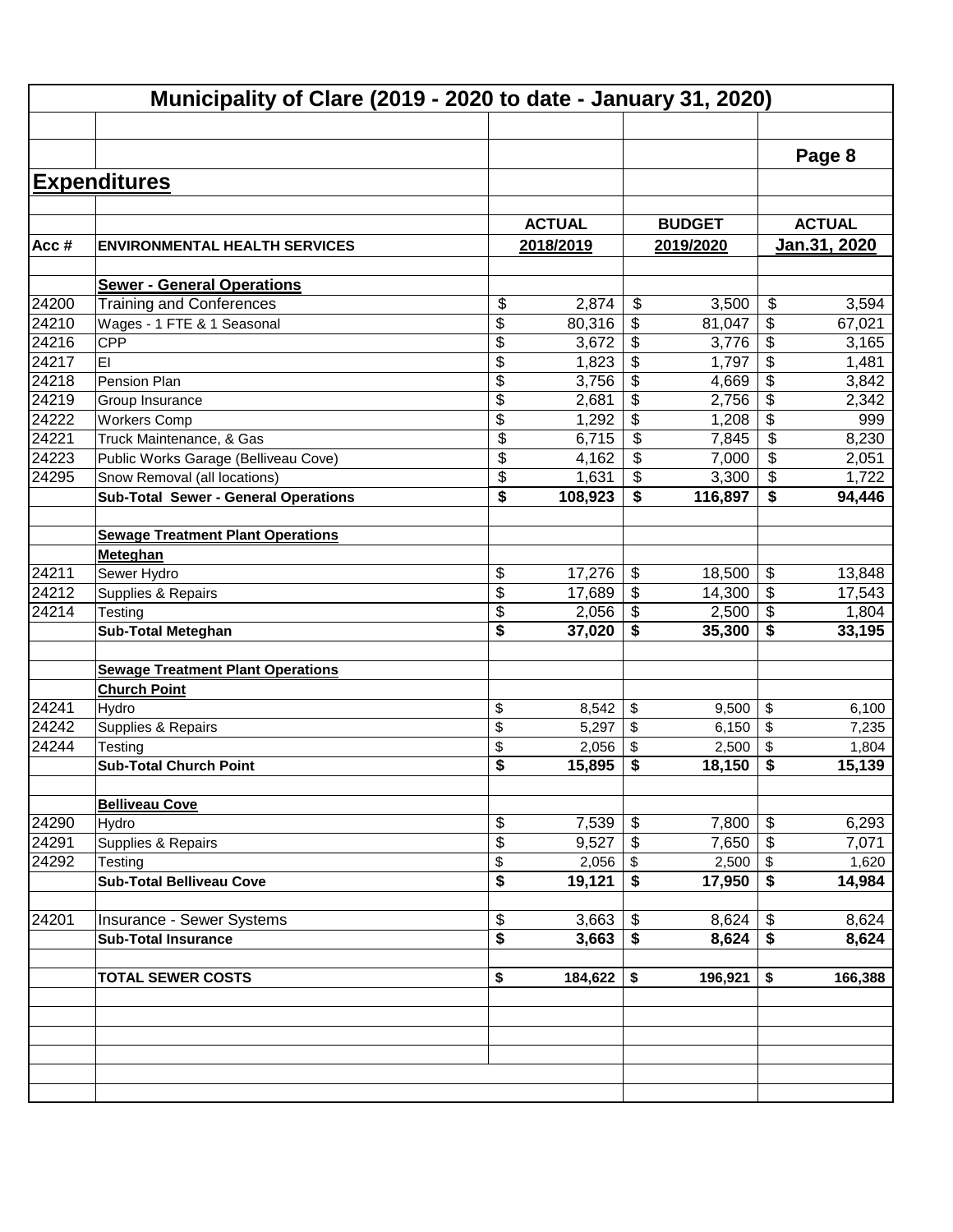|         |                                             |               |                                      |              |                            | Page 8       |  |
|---------|---------------------------------------------|---------------|--------------------------------------|--------------|----------------------------|--------------|--|
|         | <b>Expenditures</b>                         |               |                                      |              |                            |              |  |
|         |                                             | <b>ACTUAL</b> |                                      |              | <b>ACTUAL</b>              |              |  |
| Acc $#$ | <b>ENVIRONMENTAL HEALTH SERVICES</b>        | 2018/2019     |                                      |              |                            | Jan.31, 2020 |  |
|         |                                             |               |                                      | 2019/2020    |                            |              |  |
|         | <b>Sewer - General Operations</b>           |               |                                      |              |                            |              |  |
| 24200   | <b>Training and Conferences</b>             | \$<br>2,874   | \$                                   | 3,500        | \$                         | 3,594        |  |
| 24210   | Wages - 1 FTE & 1 Seasonal                  | \$<br>80,316  | \$                                   | 81,047       | \$                         | 67,021       |  |
| 24216   | <b>CPP</b>                                  | \$<br>3,672   | \$                                   | 3,776        | \$                         | 3,165        |  |
| 24217   | EI                                          | \$<br>1,823   | \$                                   | 1,797        | \$                         | 1,481        |  |
| 24218   | Pension Plan                                | \$<br>3,756   | \$                                   | 4,669        | \$                         | 3,842        |  |
| 24219   | Group Insurance                             | \$<br>2,681   | \$                                   | 2,756        | \$                         | 2,342        |  |
| 24222   | <b>Workers Comp</b>                         | \$<br>1,292   | $\overline{\mathbf{3}}$              | 1,208        | \$                         | 999          |  |
| 24221   | Truck Maintenance, & Gas                    | \$<br>6,715   | \$                                   | 7,845        | \$                         | 8,230        |  |
| 24223   | Public Works Garage (Belliveau Cove)        | \$<br>4,162   | \$                                   | 7,000        | \$                         | 2,051        |  |
| 24295   | Snow Removal (all locations)                | \$<br>1,631   | \$                                   | 3,300        | \$                         | 1,722        |  |
|         | <b>Sub-Total Sewer - General Operations</b> | \$<br>108,923 | \$                                   | 116,897      | \$                         | 94,446       |  |
|         |                                             |               |                                      |              |                            |              |  |
|         | <b>Sewage Treatment Plant Operations</b>    |               |                                      |              |                            |              |  |
|         | Meteghan                                    |               |                                      |              |                            |              |  |
| 24211   | Sewer Hydro                                 | \$<br>17,276  | \$                                   | 18,500       | $\boldsymbol{\mathsf{\$}}$ | 13,848       |  |
| 24212   | Supplies & Repairs                          | \$<br>17,689  | \$                                   | 14,300       | \$                         | 17,543       |  |
| 24214   | Testing                                     | \$<br>2,056   | \$                                   | 2,500        | $\sqrt[6]{3}$              | 1,804        |  |
|         | <b>Sub-Total Meteghan</b>                   | \$<br>37,020  | \$                                   | 35,300       | \$                         | 33,195       |  |
|         | <b>Sewage Treatment Plant Operations</b>    |               |                                      |              |                            |              |  |
|         | <b>Church Point</b>                         |               |                                      |              |                            |              |  |
| 24241   | Hydro                                       | \$<br>8,542   | \$                                   | 9,500        | $\sqrt[6]{\frac{1}{2}}$    | 6,100        |  |
| 24242   | Supplies & Repairs                          | \$<br>5,297   | \$                                   | 6,150        | $\sqrt[6]{\frac{1}{2}}$    | 7,235        |  |
| 24244   | Testing                                     | \$<br>2,056   | \$                                   | 2,500        | \$                         | 1,804        |  |
|         | <b>Sub-Total Church Point</b>               | \$<br>15,895  | \$                                   | 18,150       | \$                         | 15,139       |  |
|         |                                             |               |                                      |              |                            |              |  |
|         | <b>Belliveau Cove</b>                       |               |                                      |              |                            |              |  |
| 24290   | Hydro                                       | \$<br>7,539   | \$                                   | 7,800        | \$                         | 6,293        |  |
| 24291   | Supplies & Repairs                          | \$<br>9,527   | \$                                   | $7,650$ \ \$ |                            | 7,071        |  |
| 24292   | Testing                                     | \$<br>2,056   | $\$\$                                | $2,500$ \$   |                            | 1,620        |  |
|         | <b>Sub-Total Belliveau Cove</b>             | \$<br>19,121  | $\overline{\boldsymbol{\mathsf{s}}}$ | $17,950$ \$  |                            | 14,984       |  |
| 24201   | Insurance - Sewer Systems                   | \$<br>3,663   | \$                                   | 8,624        | $\$\,$                     | 8,624        |  |
|         | <b>Sub-Total Insurance</b>                  | \$<br>3,663   | $\overline{\boldsymbol{\mathsf{s}}}$ | 8,624        | $\overline{\bullet}$       | 8,624        |  |
|         |                                             |               |                                      |              |                            |              |  |
|         | <b>TOTAL SEWER COSTS</b>                    | \$<br>184,622 | \$                                   | 196,921      | \$                         | 166,388      |  |
|         |                                             |               |                                      |              |                            |              |  |
|         |                                             |               |                                      |              |                            |              |  |
|         |                                             |               |                                      |              |                            |              |  |
|         |                                             |               |                                      |              |                            |              |  |
|         |                                             |               |                                      |              |                            |              |  |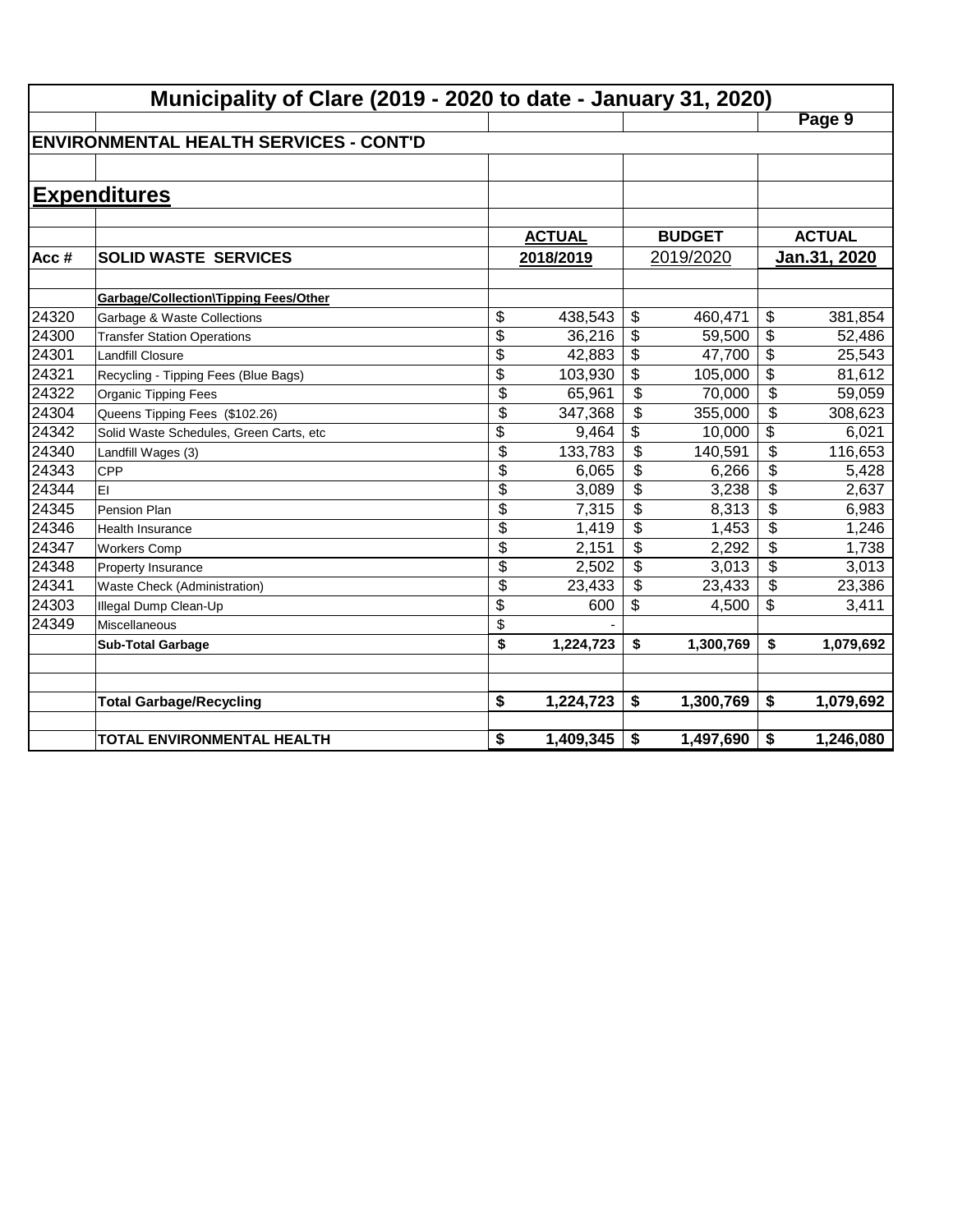|       | Municipality of Clare (2019 - 2020 to date - January 31, 2020) |                 |               |                          |               |                          |               |  |  |  |
|-------|----------------------------------------------------------------|-----------------|---------------|--------------------------|---------------|--------------------------|---------------|--|--|--|
|       |                                                                |                 |               |                          |               |                          | Page 9        |  |  |  |
|       | <b>IENVIRONMENTAL HEALTH SERVICES - CONT'D</b>                 |                 |               |                          |               |                          |               |  |  |  |
|       |                                                                |                 |               |                          |               |                          |               |  |  |  |
|       | <b>Expenditures</b>                                            |                 |               |                          |               |                          |               |  |  |  |
|       |                                                                |                 |               |                          |               |                          |               |  |  |  |
|       |                                                                |                 | <b>ACTUAL</b> |                          | <b>BUDGET</b> |                          | <b>ACTUAL</b> |  |  |  |
| Acc#  | <b>SOLID WASTE SERVICES</b>                                    |                 | 2018/2019     |                          | 2019/2020     |                          | Jan.31, 2020  |  |  |  |
|       |                                                                |                 |               |                          |               |                          |               |  |  |  |
|       | <b>Garbage/Collection\Tipping Fees/Other</b>                   |                 |               |                          |               |                          |               |  |  |  |
| 24320 | Garbage & Waste Collections                                    | \$              | 438,543       | \$                       | 460,471       | \$                       | 381,854       |  |  |  |
| 24300 | <b>Transfer Station Operations</b>                             | \$              | 36,216        | \$                       | 59,500        | $\overline{\$}$          | 52,486        |  |  |  |
| 24301 | <b>Landfill Closure</b>                                        | \$              | 42,883        | \$                       | 47,700        | \$                       | 25,543        |  |  |  |
| 24321 | Recycling - Tipping Fees (Blue Bags)                           | $\overline{\$}$ | 103,930       | \$                       | 105,000       | $\overline{\$}$          | 81,612        |  |  |  |
| 24322 | Organic Tipping Fees                                           | \$              | 65,961        | \$                       | 70,000        | $\overline{\mathcal{L}}$ | 59,059        |  |  |  |
| 24304 | Queens Tipping Fees (\$102.26)                                 | $\overline{\$}$ | 347,368       | $\overline{\mathcal{L}}$ | 355,000       | $\overline{\mathcal{L}}$ | 308,623       |  |  |  |
| 24342 | Solid Waste Schedules, Green Carts, etc                        | \$              | 9,464         | \$                       | 10,000        | $\overline{\mathcal{L}}$ | 6,021         |  |  |  |
| 24340 | Landfill Wages (3)                                             | $\overline{\$}$ | 133,783       | \$                       | 140,591       | \$                       | 116,653       |  |  |  |
| 24343 | <b>CPP</b>                                                     | \$              | 6,065         | \$                       | 6,266         | \$                       | 5,428         |  |  |  |
| 24344 | EI                                                             | \$              | 3,089         | \$                       | 3,238         | \$                       | 2,637         |  |  |  |
| 24345 | Pension Plan                                                   | \$              | 7,315         | \$                       | 8,313         | \$                       | 6,983         |  |  |  |
| 24346 | <b>Health Insurance</b>                                        | \$              | 1,419         | \$                       | 1,453         | \$                       | 1,246         |  |  |  |
| 24347 | <b>Workers Comp</b>                                            | \$              | 2,151         | \$                       | 2,292         | \$                       | 1,738         |  |  |  |
| 24348 | Property Insurance                                             | \$              | 2,502         | \$                       | 3,013         | \$                       | 3,013         |  |  |  |
| 24341 | Waste Check (Administration)                                   | \$              | 23,433        | \$                       | 23,433        | \$                       | 23,386        |  |  |  |
| 24303 | Illegal Dump Clean-Up                                          | \$              | 600           | \$                       | 4,500         | \$                       | 3,411         |  |  |  |
| 24349 | Miscellaneous                                                  | \$              |               |                          |               |                          |               |  |  |  |
|       | <b>Sub-Total Garbage</b>                                       | \$              | 1,224,723     | \$                       | 1,300,769     | \$                       | 1,079,692     |  |  |  |
|       |                                                                |                 |               |                          |               |                          |               |  |  |  |
|       |                                                                |                 |               |                          |               |                          |               |  |  |  |
|       | <b>Total Garbage/Recycling</b>                                 | \$              | 1,224,723     | \$                       | 1,300,769     | \$                       | 1,079,692     |  |  |  |
|       | TOTAL ENVIRONMENTAL HEALTH                                     | \$              | 1,409,345     | \$                       | 1,497,690     | \$                       | 1,246,080     |  |  |  |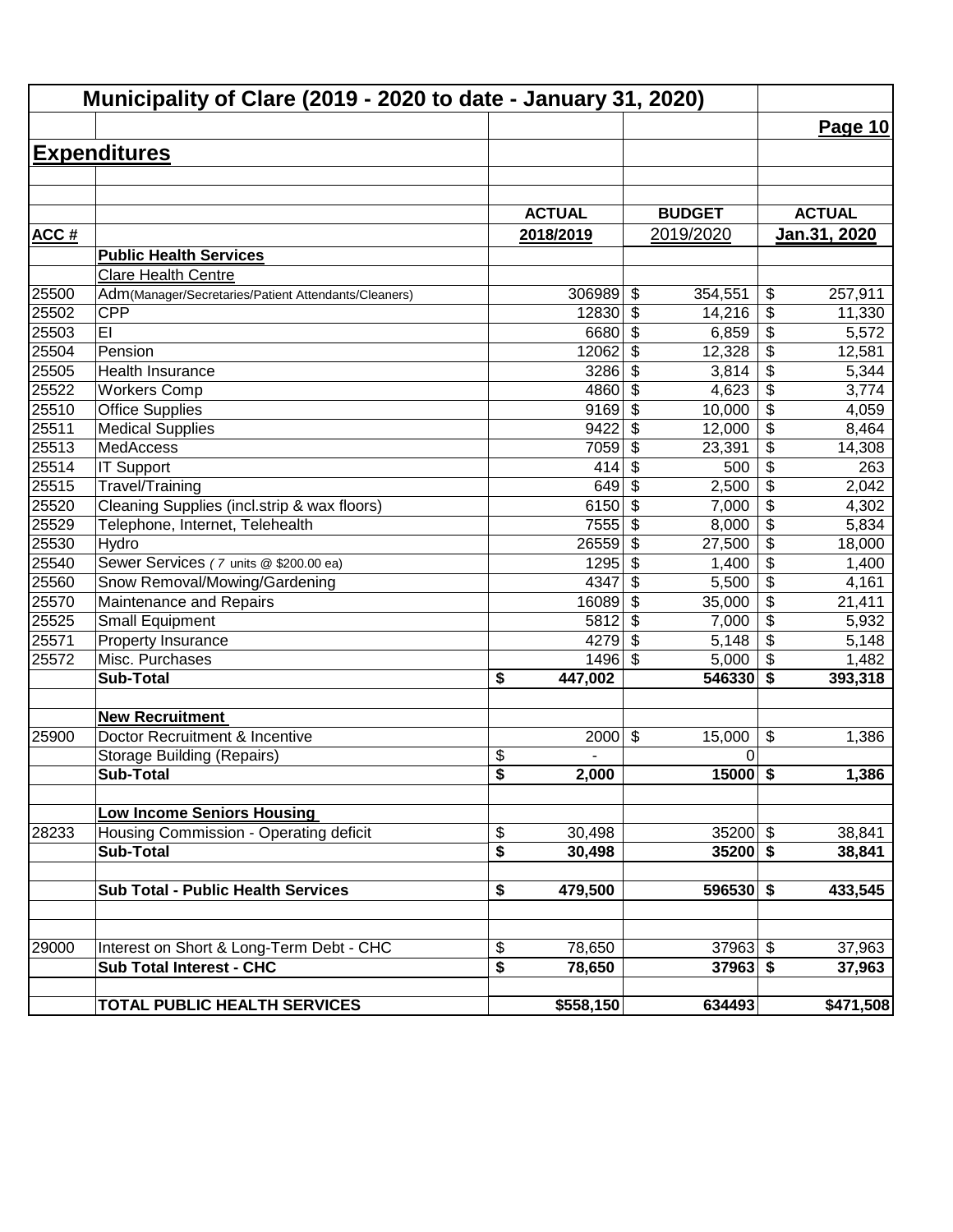| Municipality of Clare (2019 - 2020 to date - January 31, 2020) |                                                      |                                  |                                      |                                    |  |  |  |
|----------------------------------------------------------------|------------------------------------------------------|----------------------------------|--------------------------------------|------------------------------------|--|--|--|
|                                                                |                                                      |                                  |                                      | Page 10                            |  |  |  |
|                                                                | <b>Expenditures</b>                                  |                                  |                                      |                                    |  |  |  |
|                                                                |                                                      |                                  |                                      |                                    |  |  |  |
|                                                                |                                                      |                                  |                                      |                                    |  |  |  |
|                                                                |                                                      | <b>ACTUAL</b>                    | <b>BUDGET</b>                        | <b>ACTUAL</b>                      |  |  |  |
| <b>ACC#</b>                                                    |                                                      | 2018/2019                        | 2019/2020                            | <u>Jan.31, 2020</u>                |  |  |  |
|                                                                | <b>Public Health Services</b>                        |                                  |                                      |                                    |  |  |  |
|                                                                | <b>Clare Health Centre</b>                           |                                  |                                      |                                    |  |  |  |
| 25500                                                          | Adm(Manager/Secretaries/Patient Attendants/Cleaners) | 306989                           | $\boldsymbol{\mathsf{S}}$<br>354,551 | \$<br>257,911                      |  |  |  |
| 25502                                                          | <b>CPP</b>                                           | 12830                            | $\boldsymbol{\mathsf{S}}$<br>14,216  | \$<br>11,330                       |  |  |  |
| 25503                                                          | EI                                                   | 6680                             | $\boldsymbol{\mathsf{S}}$<br>6,859   | $\overline{\$}$<br>5,572           |  |  |  |
| 25504                                                          | Pension                                              | 12062                            | $\overline{\mathbf{3}}$<br>12,328    | $\overline{\$}$<br>12,581          |  |  |  |
| 25505                                                          | <b>Health Insurance</b>                              | 3286                             | $\overline{\mathbf{s}}$<br>3,814     | $\overline{\$}$<br>5,344           |  |  |  |
| 25522                                                          | <b>Workers Comp</b>                                  | 4860                             | $\boldsymbol{\mathsf{S}}$<br>4,623   | $\overline{\$}$<br>3,774           |  |  |  |
| 25510                                                          | <b>Office Supplies</b>                               | 9169                             | \$<br>10,000                         | $\overline{\$}$<br>4,059           |  |  |  |
| 25511                                                          | <b>Medical Supplies</b>                              | 9422                             | \$<br>12,000                         | $\overline{\$}$<br>8,464           |  |  |  |
| 25513                                                          | <b>MedAccess</b>                                     | 7059                             | \$<br>23,391                         | $\overline{\$}$<br>14,308          |  |  |  |
| 25514                                                          | <b>IT Support</b>                                    | 414                              | \$<br>500                            | \$<br>263                          |  |  |  |
| 25515                                                          | Travel/Training                                      | 649                              | $\boldsymbol{\mathsf{S}}$<br>2,500   | $\overline{\$}$<br>2,042           |  |  |  |
| 25520                                                          | Cleaning Supplies (incl.strip & wax floors)          | 6150                             | \$<br>7,000                          | \$<br>4,302                        |  |  |  |
| 25529                                                          | Telephone, Internet, Telehealth                      | 7555                             | \$<br>8,000                          | \$<br>5,834                        |  |  |  |
| 25530                                                          | Hydro                                                | 26559                            | $\boldsymbol{\mathsf{S}}$<br>27,500  | $\overline{\mathcal{L}}$<br>18,000 |  |  |  |
| 25540                                                          | Sewer Services (7 units @ \$200.00 ea)               | 1295                             | \$<br>1,400                          | $\overline{\mathcal{L}}$<br>1,400  |  |  |  |
| 25560                                                          | Snow Removal/Mowing/Gardening                        | 4347                             | \$<br>5,500                          | $\overline{\mathbf{S}}$<br>4,161   |  |  |  |
| 25570                                                          | Maintenance and Repairs                              | 16089                            | \$<br>35,000                         | \$<br>21,411                       |  |  |  |
| 25525                                                          | <b>Small Equipment</b>                               | 5812                             | \$<br>7,000                          | \$<br>5,932                        |  |  |  |
| 25571                                                          | Property Insurance                                   | 4279                             | $\boldsymbol{\mathsf{S}}$<br>5,148   | \$<br>5,148                        |  |  |  |
| 25572                                                          | Misc. Purchases                                      | 1496                             | $\boldsymbol{\mathsf{S}}$<br>5,000   | $\boldsymbol{\mathsf{S}}$<br>1,482 |  |  |  |
|                                                                | <b>Sub-Total</b>                                     | \$<br>447,002                    | 546330                               | \$<br>393,318                      |  |  |  |
|                                                                | <b>New Recruitment</b>                               |                                  |                                      |                                    |  |  |  |
| 25900                                                          | Doctor Recruitment & Incentive                       | 2000                             | $\boldsymbol{\mathsf{S}}$<br>15,000  | \$<br>1,386                        |  |  |  |
|                                                                | <b>Storage Building (Repairs)</b>                    | $\frac{1}{2}$                    | 0                                    |                                    |  |  |  |
|                                                                | <b>Sub-Total</b>                                     | $\overline{\mathbf{s}}$<br>2,000 | $15000$ \$                           | 1,386                              |  |  |  |
|                                                                | <b>Low Income Seniors Housing</b>                    |                                  |                                      |                                    |  |  |  |
| 28233                                                          | Housing Commission - Operating deficit               | \$<br>30,498                     | $35200$ \$                           | 38,841                             |  |  |  |
|                                                                | <b>Sub-Total</b>                                     | \$<br>30,498                     | $35200$ \$                           | 38,841                             |  |  |  |
|                                                                |                                                      |                                  |                                      |                                    |  |  |  |
|                                                                | <b>Sub Total - Public Health Services</b>            | 479,500<br>\$                    | $596530$ \$                          | 433,545                            |  |  |  |
|                                                                |                                                      |                                  |                                      |                                    |  |  |  |
| 29000                                                          | Interest on Short & Long-Term Debt - CHC             | \$<br>78,650                     | $37963$ \$                           | 37,963                             |  |  |  |
|                                                                | <b>Sub Total Interest - CHC</b>                      | \$<br>78,650                     | $37963$ \$                           | 37,963                             |  |  |  |
|                                                                | TOTAL PUBLIC HEALTH SERVICES                         | \$558,150                        | 634493                               | \$471,508                          |  |  |  |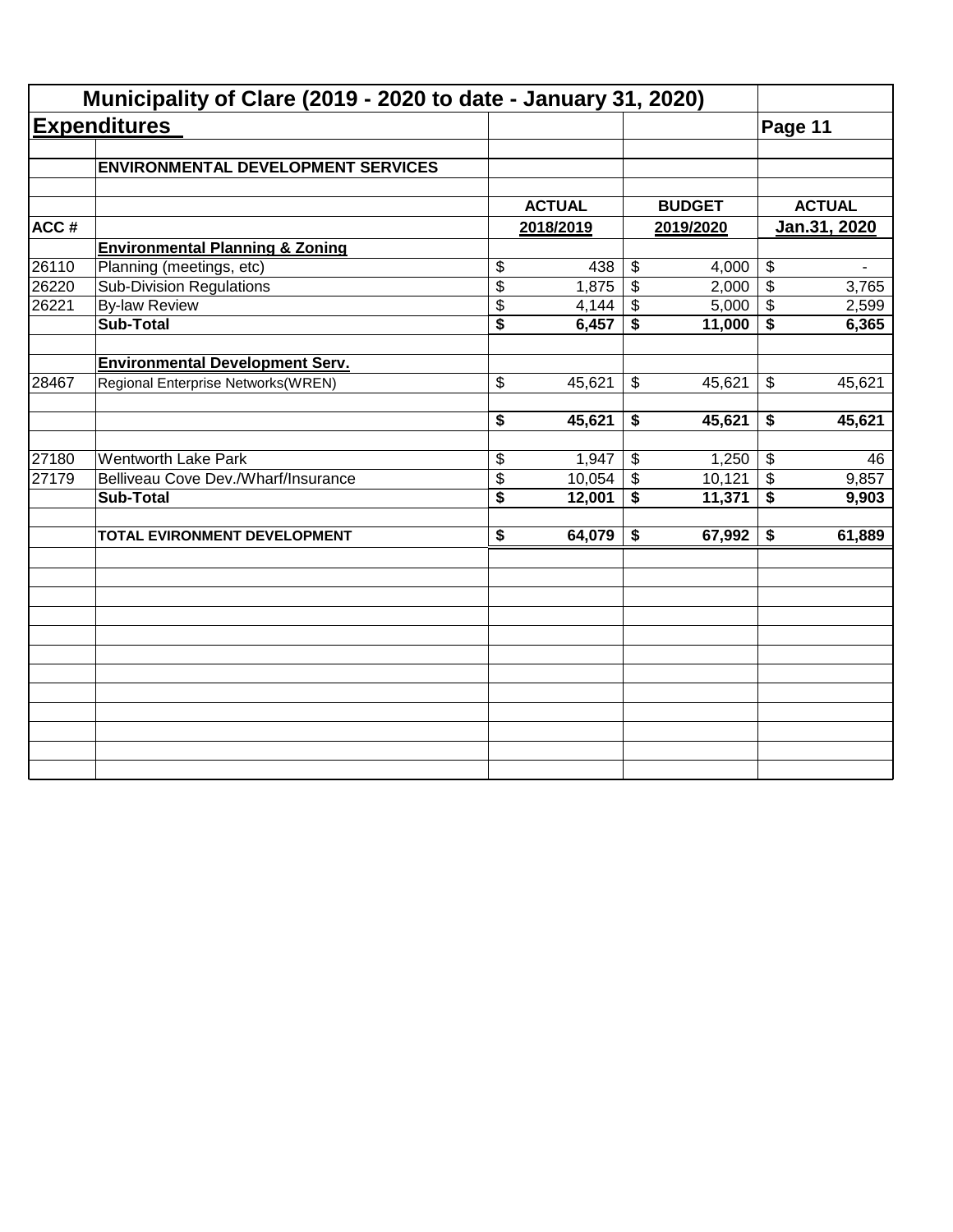|       | Municipality of Clare (2019 - 2020 to date - January 31, 2020) |                                      |               |                 |               |                            |               |
|-------|----------------------------------------------------------------|--------------------------------------|---------------|-----------------|---------------|----------------------------|---------------|
|       | <b>Expenditures</b>                                            |                                      |               |                 |               | Page 11                    |               |
|       | <b>ENVIRONMENTAL DEVELOPMENT SERVICES</b>                      |                                      |               |                 |               |                            |               |
|       |                                                                |                                      | <b>ACTUAL</b> |                 | <b>BUDGET</b> |                            | <b>ACTUAL</b> |
| ACC#  |                                                                |                                      | 2018/2019     |                 | 2019/2020     | Jan.31, 2020               |               |
|       | <b>Environmental Planning &amp; Zoning</b>                     |                                      |               |                 |               |                            |               |
| 26110 | Planning (meetings, etc)                                       | \$                                   | 438           | \$              | 4,000         | $\boldsymbol{\theta}$      |               |
| 26220 | <b>Sub-Division Regulations</b>                                | $\overline{\$}$                      | 1,875         | $\overline{\$}$ | 2,000         | $\boldsymbol{\mathsf{S}}$  | 3,765         |
| 26221 | <b>By-law Review</b>                                           | \$                                   | 4,144         | \$              | 5,000         | $\boldsymbol{\mathcal{F}}$ | 2,599         |
|       | <b>Sub-Total</b>                                               | $\overline{\$}$                      | 6,457         | \$              | 11,000        | \$                         | 6,365         |
|       | <b>Environmental Development Serv.</b>                         |                                      |               |                 |               |                            |               |
| 28467 | Regional Enterprise Networks(WREN)                             | \$                                   | 45,621        | \$              | 45,621        | \$                         | 45,621        |
|       |                                                                | \$                                   | 45,621        | \$              | 45,621        | \$                         | 45,621        |
| 27180 | <b>Wentworth Lake Park</b>                                     | \$                                   | 1,947         | \$              | 1,250         | $\sqrt[6]{3}$              | 46            |
| 27179 | Belliveau Cove Dev./Wharf/Insurance                            | \$                                   | 10,054        | $\mathfrak{S}$  | 10,121        | $\sqrt[6]{\frac{1}{2}}$    | 9,857         |
|       | <b>Sub-Total</b>                                               | $\overline{\boldsymbol{\mathsf{s}}}$ | 12,001        | \$              | 11,371        | $\overline{\bullet}$       | 9,903         |
|       | TOTAL EVIRONMENT DEVELOPMENT                                   | $\overline{\boldsymbol{\mathsf{s}}}$ | 64,079        | \$              | 67,992        | \$                         | 61,889        |
|       |                                                                |                                      |               |                 |               |                            |               |
|       |                                                                |                                      |               |                 |               |                            |               |
|       |                                                                |                                      |               |                 |               |                            |               |
|       |                                                                |                                      |               |                 |               |                            |               |
|       |                                                                |                                      |               |                 |               |                            |               |
|       |                                                                |                                      |               |                 |               |                            |               |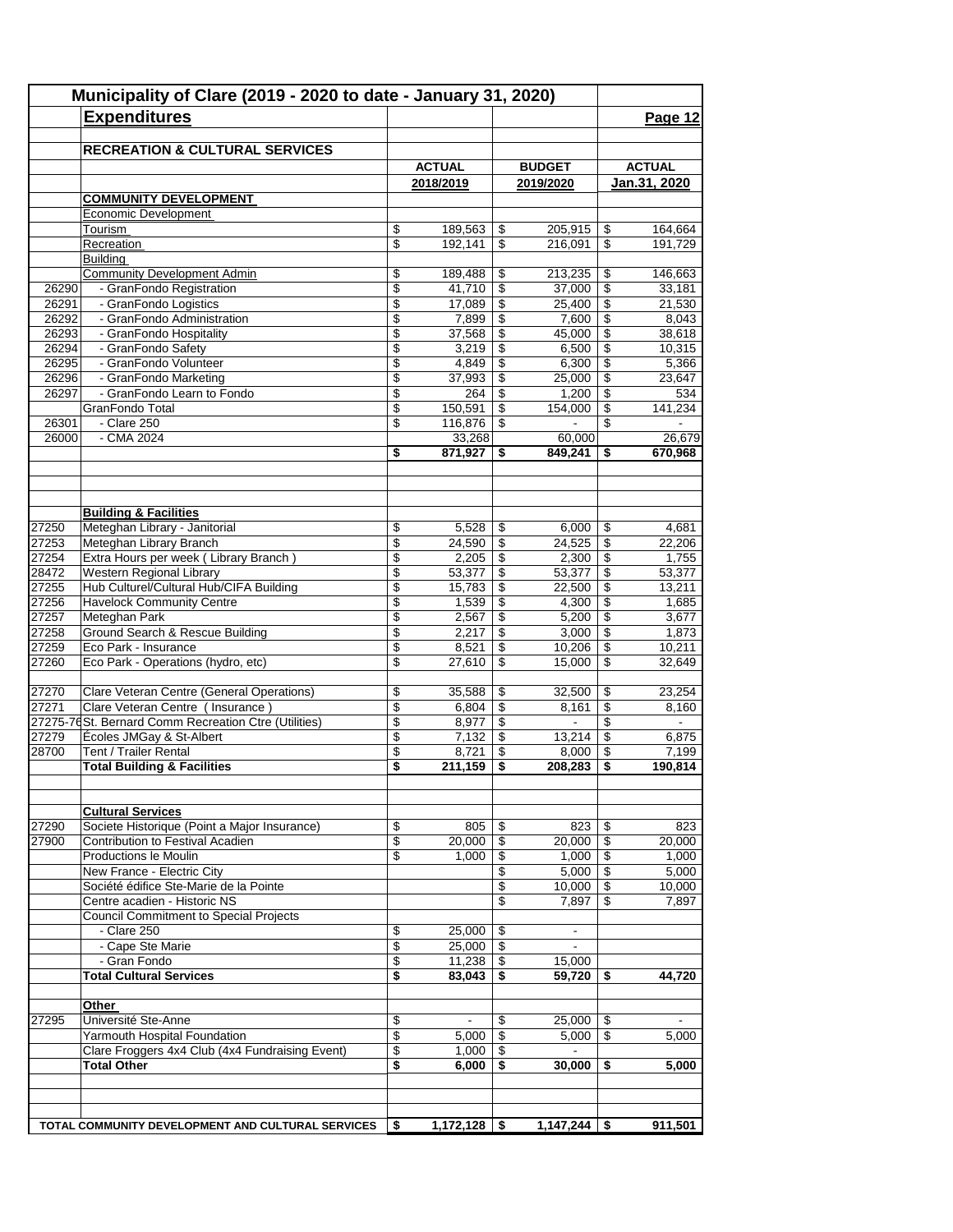|                | Municipality of Clare (2019 - 2020 to date - January 31, 2020)         |    |                   |                          |                 |                          |                   |  |  |
|----------------|------------------------------------------------------------------------|----|-------------------|--------------------------|-----------------|--------------------------|-------------------|--|--|
|                | <b>Expenditures</b>                                                    |    |                   |                          |                 |                          | Page 12           |  |  |
|                |                                                                        |    |                   |                          |                 |                          |                   |  |  |
|                | <b>RECREATION &amp; CULTURAL SERVICES</b>                              |    |                   |                          |                 |                          |                   |  |  |
|                |                                                                        |    | <b>ACTUAL</b>     |                          | <b>BUDGET</b>   |                          | <b>ACTUAL</b>     |  |  |
|                |                                                                        |    | 2018/2019         |                          | 2019/2020       |                          | Jan.31, 2020      |  |  |
|                | <b>COMMUNITY DEVELOPMENT</b>                                           |    |                   |                          |                 |                          |                   |  |  |
|                | Economic Development                                                   |    |                   |                          |                 |                          |                   |  |  |
|                | Tourism                                                                | \$ | 189,563           | \$                       | 205,915         | \$                       | 164,664           |  |  |
|                | Recreation                                                             | \$ | 192,141           | \$                       | 216,091         | \$                       | 191,729           |  |  |
|                | <b>Building</b><br><b>Community Development Admin</b>                  | \$ | 189,488           | \$                       | 213,235         | \$                       | 146,663           |  |  |
| 26290          | - GranFondo Registration                                               | \$ | 41,710            | $\overline{\mathcal{L}}$ | 37,000          | \$                       | 33,181            |  |  |
| 26291          | - GranFondo Logistics                                                  | \$ | 17,089            | \$                       | 25,400          | \$                       | 21,530            |  |  |
| 26292          | - GranFondo Administration                                             | \$ | 7,899             | \$                       | 7,600           | \$                       | 8,043             |  |  |
| 26293          | - GranFondo Hospitality                                                | \$ | 37,568            | \$                       | 45,000          | \$                       | 38,618            |  |  |
| 26294          | - GranFondo Safety                                                     | \$ | 3,219             | \$                       | 6,500           | \$                       | 10,315            |  |  |
| 26295          | - GranFondo Volunteer                                                  | \$ | 4,849             | $\overline{\mathcal{L}}$ | 6,300           | $\overline{\mathcal{L}}$ | 5,366             |  |  |
| 26296          | - GranFondo Marketing                                                  | \$ | 37,993            | \$                       | 25,000          | \$                       | 23,647            |  |  |
| 26297          | - GranFondo Learn to Fondo                                             | \$ | 264               | \$                       | 1,200           | \$                       | 534               |  |  |
|                | GranFondo Total<br>- Clare 250                                         | \$ | 150,591           | \$                       | 154,000         | \$                       | 141,234           |  |  |
| 26301<br>26000 | $-CMA$ 2024                                                            | \$ | 116,876<br>33,268 | \$                       | 60,000          | \$                       | 26,679            |  |  |
|                |                                                                        | \$ | 871,927           | \$                       | 849,241         | \$                       | 670,968           |  |  |
|                |                                                                        |    |                   |                          |                 |                          |                   |  |  |
|                |                                                                        |    |                   |                          |                 |                          |                   |  |  |
|                | <b>Building &amp; Facilities</b>                                       |    |                   |                          |                 |                          |                   |  |  |
| 27250          | Meteghan Library - Janitorial                                          | \$ | 5,528             | \$                       | 6,000           | \$                       | 4,681             |  |  |
| 27253          | Meteghan Library Branch                                                | \$ | 24,590            | \$                       | 24,525          | \$                       | 22,206            |  |  |
| 27254          | Extra Hours per week (Library Branch)                                  | \$ | 2,205             | $\sqrt[6]{3}$            | 2,300           | \$                       | 1,755             |  |  |
| 28472          | Western Regional Library                                               | \$ | 53,377            | \$                       | 53,377          | \$                       | 53,377            |  |  |
| 27255          | Hub Culturel/Cultural Hub/CIFA Building                                | \$ | 15,783            | \$                       | 22,500          | \$                       | 13,211            |  |  |
| 27256          | <b>Havelock Community Centre</b>                                       | \$ | 1,539             | \$                       | 4,300           | \$                       | 1,685             |  |  |
| 27257          | Meteghan Park                                                          | \$ | 2,567             | \$                       | 5,200           | \$                       | 3,677             |  |  |
| 27258          | Ground Search & Rescue Building                                        | \$ | 2,217             | \$                       | 3,000           | \$                       | 1,873             |  |  |
| 27259          | Eco Park - Insurance                                                   | \$ | 8,521             | \$                       | 10,206          | \$                       | 10,211            |  |  |
| 27260          | Eco Park - Operations (hydro, etc)                                     | \$ | 27,610            | \$                       | 15,000          | \$                       | 32,649            |  |  |
| 27270          | Clare Veteran Centre (General Operations)                              | \$ | 35,588            | \$                       | 32,500          | \$                       | 23,254            |  |  |
| 27271          | Clare Veteran Centre ( Insurance )                                     | \$ | 6,804             | $\sqrt[6]{3}$            | 8,161           | \$                       | 8,160             |  |  |
|                | 27275-76 St. Bernard Comm Recreation Ctre (Utilities)                  | \$ | 8,977             | \$                       | $\blacksquare$  | \$                       | $\blacksquare$    |  |  |
| 27279          | Écoles JMGay & St-Albert                                               | \$ | 7,132             | \$                       | 13,214          | \$                       | 6,875             |  |  |
| 28700          | Tent / Trailer Rental                                                  | \$ | 8,721             | \$                       | 8,000           | \$                       | 7.199             |  |  |
|                | <b>Total Building &amp; Facilities</b>                                 | \$ | 211,159           | \$                       | 208,283         | \$                       | 190,814           |  |  |
|                |                                                                        |    |                   |                          |                 |                          |                   |  |  |
|                | <b>Cultural Services</b>                                               |    |                   |                          |                 |                          |                   |  |  |
| 27290          | Societe Historique (Point a Major Insurance)                           | \$ | 805               | \$                       | 823             | \$                       | 823               |  |  |
| 27900          | Contribution to Festival Acadien                                       | \$ | 20,000            | \$                       | 20,000          | \$                       | 20,000            |  |  |
|                | Productions le Moulin                                                  | \$ | 1,000             | \$                       | 1,000           | \$                       | 1,000             |  |  |
|                | New France - Electric City                                             |    |                   | \$                       | 5,000           | \$                       | 5,000             |  |  |
|                | Société édifice Ste-Marie de la Pointe<br>Centre acadien - Historic NS |    |                   | \$<br>\$                 | 10,000<br>7,897 | \$<br>\$                 | 10,000<br>7,897   |  |  |
|                | <b>Council Commitment to Special Projects</b>                          |    |                   |                          |                 |                          |                   |  |  |
|                | - Clare 250                                                            | \$ | 25,000            | \$                       | $\blacksquare$  |                          |                   |  |  |
|                | - Cape Ste Marie                                                       | \$ | 25,000            | \$                       | $\blacksquare$  |                          |                   |  |  |
|                | - Gran Fondo                                                           | \$ | 11,238            | \$                       | 15,000          |                          |                   |  |  |
|                | <b>Total Cultural Services</b>                                         | \$ | 83,043            | \$                       | 59,720          | \$                       | 44,720            |  |  |
|                | Other                                                                  |    |                   |                          |                 |                          |                   |  |  |
| 27295          | Université Ste-Anne                                                    | \$ | $\blacksquare$    | \$                       | 25,000          | \$                       |                   |  |  |
|                | Yarmouth Hospital Foundation                                           | \$ | 5,000             | \$                       | 5,000           | \$                       | 5,000             |  |  |
|                | Clare Froggers 4x4 Club (4x4 Fundraising Event)                        | \$ | 1,000             | \$                       | $\blacksquare$  |                          |                   |  |  |
|                | <b>Total Other</b>                                                     | \$ | 6,000             | \$                       | 30,000          | \$                       | $\frac{1}{5,000}$ |  |  |
|                |                                                                        |    |                   |                          |                 |                          |                   |  |  |
|                |                                                                        |    |                   |                          |                 |                          |                   |  |  |
|                | TOTAL COMMUNITY DEVELOPMENT AND CULTURAL SERVICES                      | \$ | 1,172,128         | -\$                      | 1,147,244       | \$                       | 911,501           |  |  |